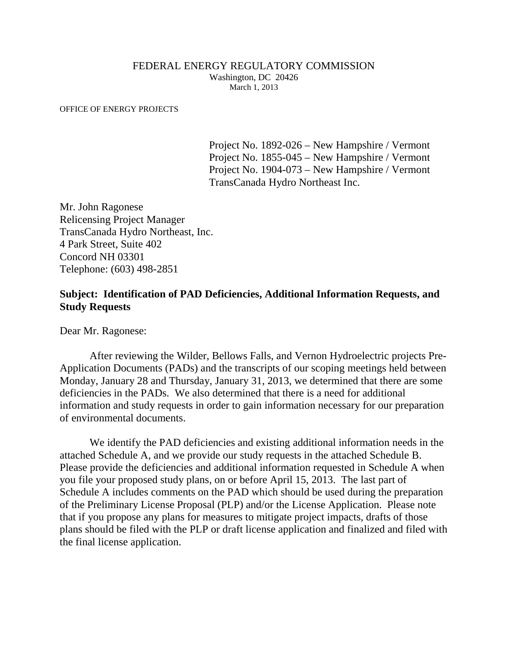#### FEDERAL ENERGY REGULATORY COMMISSION Washington, DC 20426 March 1, 2013

#### OFFICE OF ENERGY PROJECTS

Project No. 1892-026 – New Hampshire / Vermont Project No. 1855-045 – New Hampshire / Vermont Project No. 1904-073 – New Hampshire / Vermont TransCanada Hydro Northeast Inc.

Mr. John Ragonese Relicensing Project Manager TransCanada Hydro Northeast, Inc. 4 Park Street, Suite 402 Concord NH 03301 Telephone: (603) 498-2851

#### **Subject: Identification of PAD Deficiencies, Additional Information Requests, and Study Requests**

Dear Mr. Ragonese:

After reviewing the Wilder, Bellows Falls, and Vernon Hydroelectric projects Pre-Application Documents (PADs) and the transcripts of our scoping meetings held between Monday, January 28 and Thursday, January 31, 2013, we determined that there are some deficiencies in the PADs. We also determined that there is a need for additional information and study requests in order to gain information necessary for our preparation of environmental documents.

We identify the PAD deficiencies and existing additional information needs in the attached Schedule A, and we provide our study requests in the attached Schedule B. Please provide the deficiencies and additional information requested in Schedule A when you file your proposed study plans, on or before April 15, 2013. The last part of Schedule A includes comments on the PAD which should be used during the preparation of the Preliminary License Proposal (PLP) and/or the License Application. Please note that if you propose any plans for measures to mitigate project impacts, drafts of those plans should be filed with the PLP or draft license application and finalized and filed with the final license application.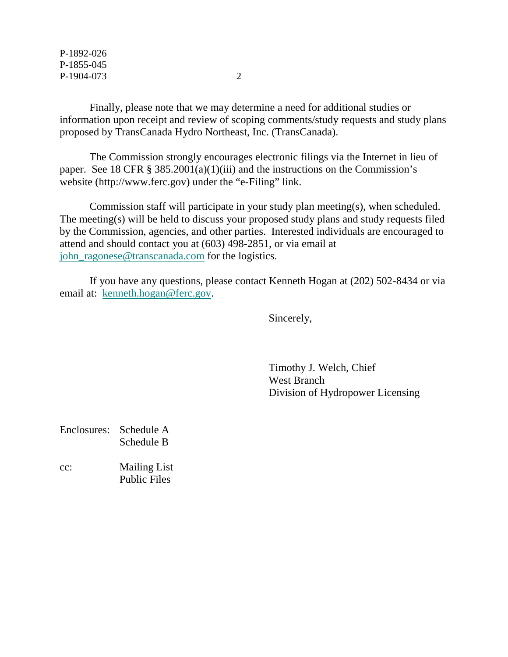P-1892-026 P-1855-045 P-1904-073 2

Finally, please note that we may determine a need for additional studies or information upon receipt and review of scoping comments/study requests and study plans proposed by TransCanada Hydro Northeast, Inc. (TransCanada).

The Commission strongly encourages electronic filings via the Internet in lieu of paper. See 18 CFR  $\S 385.2001(a)(1)(iii)$  and the instructions on the Commission's website (http://www.ferc.gov) under the "e-Filing" link.

Commission staff will participate in your study plan meeting(s), when scheduled. The meeting(s) will be held to discuss your proposed study plans and study requests filed by the Commission, agencies, and other parties. Interested individuals are encouraged to attend and should contact you at (603) 498-2851, or via email at [john\\_ragonese@transcanada.com](mailto:john_ragonese@transcanada.com) for the logistics.

If you have any questions, please contact Kenneth Hogan at (202) 502-8434 or via email at: [kenneth.hogan@ferc.gov.](mailto:kenneth.hogan@ferc.gov)

Sincerely,

Timothy J. Welch, Chief West Branch Division of Hydropower Licensing

Enclosures: Schedule A Schedule B

cc: Mailing List Public Files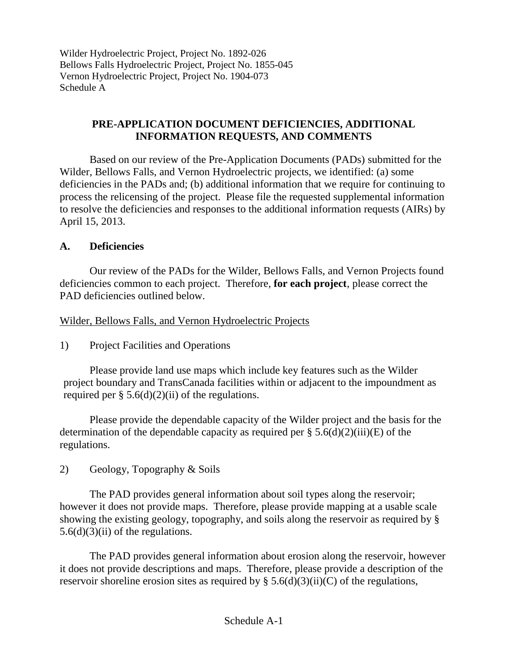# **PRE-APPLICATION DOCUMENT DEFICIENCIES, ADDITIONAL INFORMATION REQUESTS, AND COMMENTS**

Based on our review of the Pre-Application Documents (PADs) submitted for the Wilder, Bellows Falls, and Vernon Hydroelectric projects, we identified: (a) some deficiencies in the PADs and; (b) additional information that we require for continuing to process the relicensing of the project. Please file the requested supplemental information to resolve the deficiencies and responses to the additional information requests (AIRs) by April 15, 2013.

# **A. Deficiencies**

Our review of the PADs for the Wilder, Bellows Falls, and Vernon Projects found deficiencies common to each project. Therefore, **for each project**, please correct the PAD deficiencies outlined below.

# Wilder, Bellows Falls, and Vernon Hydroelectric Projects

1) Project Facilities and Operations

Please provide land use maps which include key features such as the Wilder project boundary and TransCanada facilities within or adjacent to the impoundment as required per  $\S$  5.6(d)(2)(ii) of the regulations.

Please provide the dependable capacity of the Wilder project and the basis for the determination of the dependable capacity as required per  $\S 5.6(d)(2)(iii)(E)$  of the regulations.

2) Geology, Topography & Soils

The PAD provides general information about soil types along the reservoir; however it does not provide maps. Therefore, please provide mapping at a usable scale showing the existing geology, topography, and soils along the reservoir as required by §  $5.6(d)(3)(ii)$  of the regulations.

The PAD provides general information about erosion along the reservoir, however it does not provide descriptions and maps. Therefore, please provide a description of the reservoir shoreline erosion sites as required by  $\S$  5.6(d)(3)(ii)(C) of the regulations,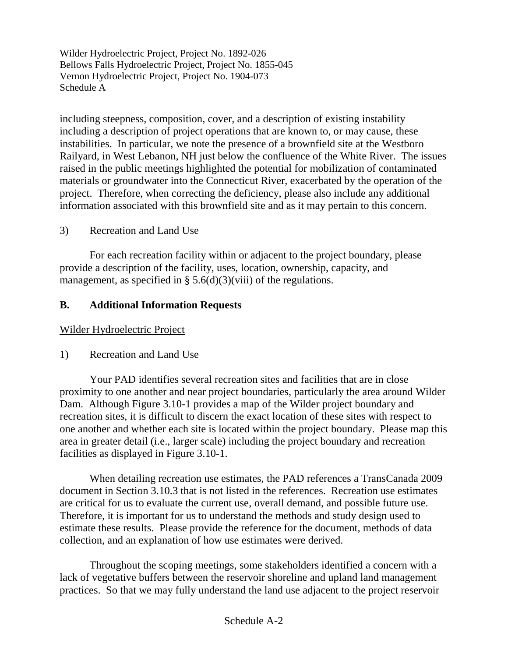including steepness, composition, cover, and a description of existing instability including a description of project operations that are known to, or may cause, these instabilities. In particular, we note the presence of a brownfield site at the Westboro Railyard, in West Lebanon, NH just below the confluence of the White River. The issues raised in the public meetings highlighted the potential for mobilization of contaminated materials or groundwater into the Connecticut River, exacerbated by the operation of the project. Therefore, when correcting the deficiency, please also include any additional information associated with this brownfield site and as it may pertain to this concern.

3) Recreation and Land Use

For each recreation facility within or adjacent to the project boundary, please provide a description of the facility, uses, location, ownership, capacity, and management, as specified in §  $5.6(d)(3)(viii)$  of the regulations.

# **B. Additional Information Requests**

Wilder Hydroelectric Project

# 1) Recreation and Land Use

Your PAD identifies several recreation sites and facilities that are in close proximity to one another and near project boundaries, particularly the area around Wilder Dam. Although Figure 3.10-1 provides a map of the Wilder project boundary and recreation sites, it is difficult to discern the exact location of these sites with respect to one another and whether each site is located within the project boundary. Please map this area in greater detail (i.e., larger scale) including the project boundary and recreation facilities as displayed in Figure 3.10-1.

When detailing recreation use estimates, the PAD references a TransCanada 2009 document in Section 3.10.3 that is not listed in the references. Recreation use estimates are critical for us to evaluate the current use, overall demand, and possible future use. Therefore, it is important for us to understand the methods and study design used to estimate these results. Please provide the reference for the document, methods of data collection, and an explanation of how use estimates were derived.

Throughout the scoping meetings, some stakeholders identified a concern with a lack of vegetative buffers between the reservoir shoreline and upland land management practices. So that we may fully understand the land use adjacent to the project reservoir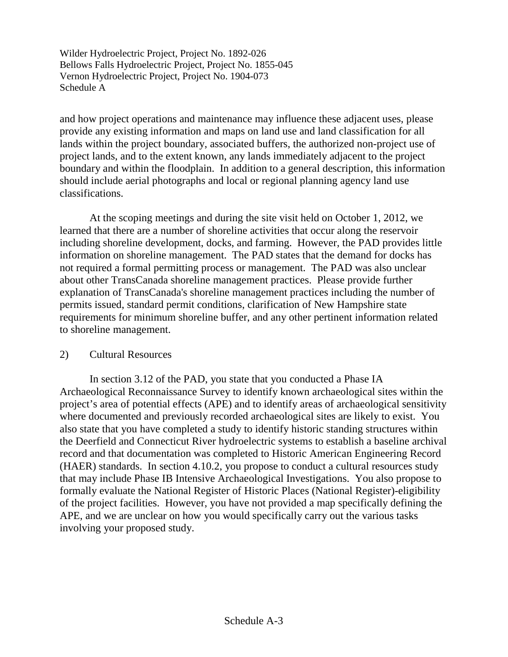and how project operations and maintenance may influence these adjacent uses, please provide any existing information and maps on land use and land classification for all lands within the project boundary, associated buffers, the authorized non-project use of project lands, and to the extent known, any lands immediately adjacent to the project boundary and within the floodplain. In addition to a general description, this information should include aerial photographs and local or regional planning agency land use classifications.

At the scoping meetings and during the site visit held on October 1, 2012, we learned that there are a number of shoreline activities that occur along the reservoir including shoreline development, docks, and farming. However, the PAD provides little information on shoreline management. The PAD states that the demand for docks has not required a formal permitting process or management. The PAD was also unclear about other TransCanada shoreline management practices. Please provide further explanation of TransCanada's shoreline management practices including the number of permits issued, standard permit conditions, clarification of New Hampshire state requirements for minimum shoreline buffer, and any other pertinent information related to shoreline management.

#### 2) Cultural Resources

In section 3.12 of the PAD, you state that you conducted a Phase IA Archaeological Reconnaissance Survey to identify known archaeological sites within the project's area of potential effects (APE) and to identify areas of archaeological sensitivity where documented and previously recorded archaeological sites are likely to exist. You also state that you have completed a study to identify historic standing structures within the Deerfield and Connecticut River hydroelectric systems to establish a baseline archival record and that documentation was completed to Historic American Engineering Record (HAER) standards. In section 4.10.2, you propose to conduct a cultural resources study that may include Phase IB Intensive Archaeological Investigations. You also propose to formally evaluate the National Register of Historic Places (National Register)-eligibility of the project facilities. However, you have not provided a map specifically defining the APE, and we are unclear on how you would specifically carry out the various tasks involving your proposed study.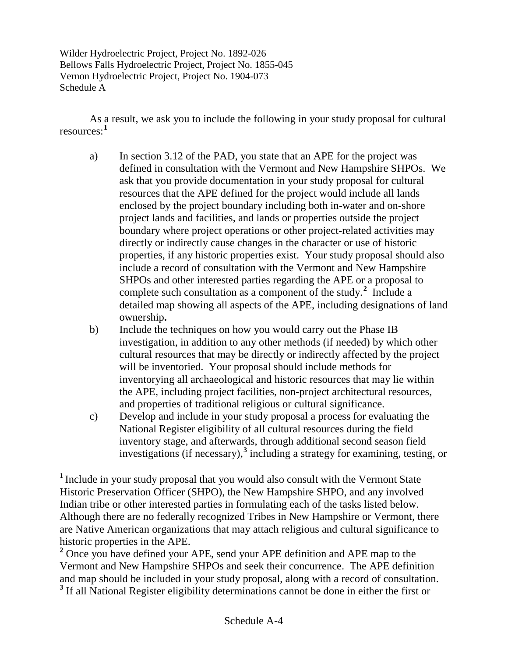As a result, we ask you to include the following in your study proposal for cultural resources: **[1](#page-5-0)**

- a) In section 3.12 of the PAD, you state that an APE for the project was defined in consultation with the Vermont and New Hampshire SHPOs. We ask that you provide documentation in your study proposal for cultural resources that the APE defined for the project would include all lands enclosed by the project boundary including both in-water and on-shore project lands and facilities, and lands or properties outside the project boundary where project operations or other project-related activities may directly or indirectly cause changes in the character or use of historic properties, if any historic properties exist. Your study proposal should also include a record of consultation with the Vermont and New Hampshire SHPOs and other interested parties regarding the APE or a proposal to complete such consultation as a component of the study.**[2](#page-5-1)** Include a detailed map showing all aspects of the APE, including designations of land ownership**.**
- b) Include the techniques on how you would carry out the Phase IB investigation, in addition to any other methods (if needed) by which other cultural resources that may be directly or indirectly affected by the project will be inventoried. Your proposal should include methods for inventorying all archaeological and historic resources that may lie within the APE, including project facilities, non-project architectural resources, and properties of traditional religious or cultural significance.
- c) Develop and include in your study proposal a process for evaluating the National Register eligibility of all cultural resources during the field inventory stage, and afterwards, through additional second season field investigations (if necessary),**[3](#page-5-2)** including a strategy for examining, testing, or

<span id="page-5-0"></span>**<sup>1</sup>** Include in your study proposal that you would also consult with the Vermont State Historic Preservation Officer (SHPO), the New Hampshire SHPO, and any involved Indian tribe or other interested parties in formulating each of the tasks listed below. Although there are no federally recognized Tribes in New Hampshire or Vermont, there are Native American organizations that may attach religious and cultural significance to historic properties in the APE. **<sup>2</sup>** Once you have defined your APE, send your APE definition and APE map to the

<span id="page-5-2"></span><span id="page-5-1"></span>Vermont and New Hampshire SHPOs and seek their concurrence. The APE definition and map should be included in your study proposal, along with a record of consultation. <sup>3</sup> If all National Register eligibility determinations cannot be done in either the first or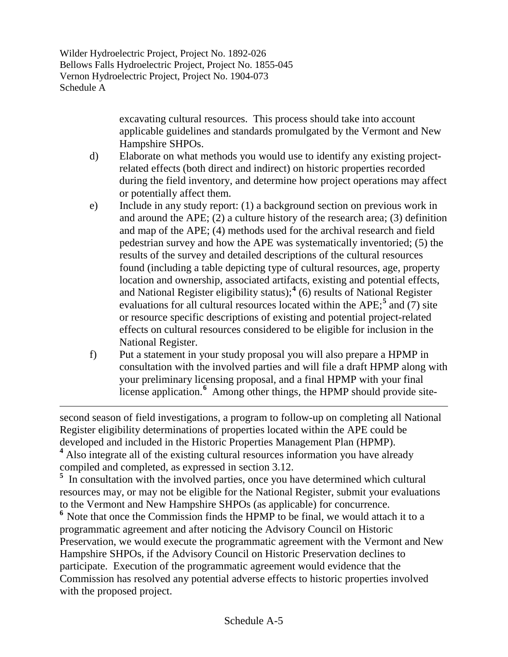$\overline{a}$ 

excavating cultural resources. This process should take into account applicable guidelines and standards promulgated by the Vermont and New Hampshire SHPOs.

- d) Elaborate on what methods you would use to identify any existing projectrelated effects (both direct and indirect) on historic properties recorded during the field inventory, and determine how project operations may affect or potentially affect them.
- e) Include in any study report: (1) a background section on previous work in and around the APE; (2) a culture history of the research area; (3) definition and map of the APE; (4) methods used for the archival research and field pedestrian survey and how the APE was systematically inventoried; (5) the results of the survey and detailed descriptions of the cultural resources found (including a table depicting type of cultural resources, age, property location and ownership, associated artifacts, existing and potential effects, and National Register eligibility status);**[4](#page-6-0)** (6) results of National Register evaluations for all cultural resources located within the APE;**[5](#page-6-1)** and (7) site or resource specific descriptions of existing and potential project-related effects on cultural resources considered to be eligible for inclusion in the National Register.
- f) Put a statement in your study proposal you will also prepare a HPMP in consultation with the involved parties and will file a draft HPMP along with your preliminary licensing proposal, and a final HPMP with your final license application.<sup>[6](#page-6-2)</sup> Among other things, the HPMP should provide site-

second season of field investigations, a program to follow-up on completing all National Register eligibility determinations of properties located within the APE could be developed and included in the Historic Properties Management Plan (HPMP).

<span id="page-6-0"></span><sup>4</sup> Also integrate all of the existing cultural resources information you have already compiled and completed, as expressed in section 3.12.

<span id="page-6-2"></span><span id="page-6-1"></span><sup>5</sup>In consultation with the involved parties, once you have determined which cultural resources may, or may not be eligible for the National Register, submit your evaluations to the Vermont and New Hampshire SHPOs (as applicable) for concurrence. <sup>6</sup> Note that once the Commission finds the HPMP to be final, we would attach it to a programmatic agreement and after noticing the Advisory Council on Historic Preservation, we would execute the programmatic agreement with the Vermont and New Hampshire SHPOs, if the Advisory Council on Historic Preservation declines to participate. Execution of the programmatic agreement would evidence that the Commission has resolved any potential adverse effects to historic properties involved with the proposed project.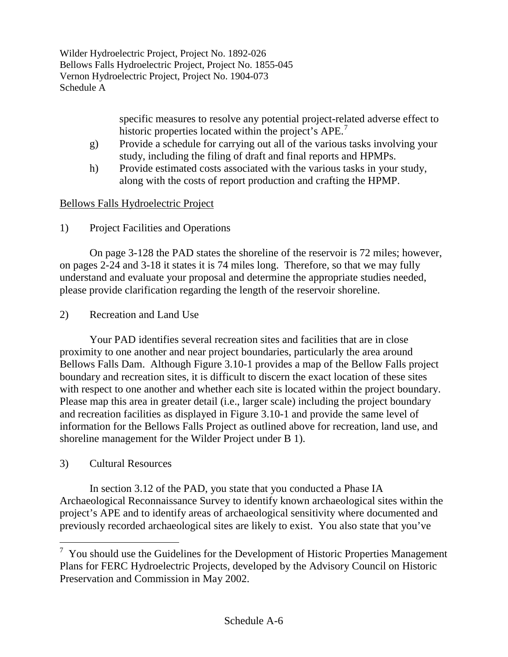> specific measures to resolve any potential project-related adverse effect to historic properties located within the project's APE.<sup>[7](#page-7-0)</sup>

- g) Provide a schedule for carrying out all of the various tasks involving your study, including the filing of draft and final reports and HPMPs.
- h) Provide estimated costs associated with the various tasks in your study, along with the costs of report production and crafting the HPMP.

# Bellows Falls Hydroelectric Project

1) Project Facilities and Operations

On page 3-128 the PAD states the shoreline of the reservoir is 72 miles; however, on pages 2-24 and 3-18 it states it is 74 miles long. Therefore, so that we may fully understand and evaluate your proposal and determine the appropriate studies needed, please provide clarification regarding the length of the reservoir shoreline.

2) Recreation and Land Use

Your PAD identifies several recreation sites and facilities that are in close proximity to one another and near project boundaries, particularly the area around Bellows Falls Dam. Although Figure 3.10-1 provides a map of the Bellow Falls project boundary and recreation sites, it is difficult to discern the exact location of these sites with respect to one another and whether each site is located within the project boundary. Please map this area in greater detail (i.e., larger scale) including the project boundary and recreation facilities as displayed in Figure 3.10-1 and provide the same level of information for the Bellows Falls Project as outlined above for recreation, land use, and shoreline management for the Wilder Project under B 1).

3) Cultural Resources

In section 3.12 of the PAD, you state that you conducted a Phase IA Archaeological Reconnaissance Survey to identify known archaeological sites within the project's APE and to identify areas of archaeological sensitivity where documented and previously recorded archaeological sites are likely to exist. You also state that you've

<span id="page-7-0"></span><sup>&</sup>lt;sup>7</sup> You should use the Guidelines for the Development of Historic Properties Management Plans for FERC Hydroelectric Projects, developed by the Advisory Council on Historic Preservation and Commission in May 2002.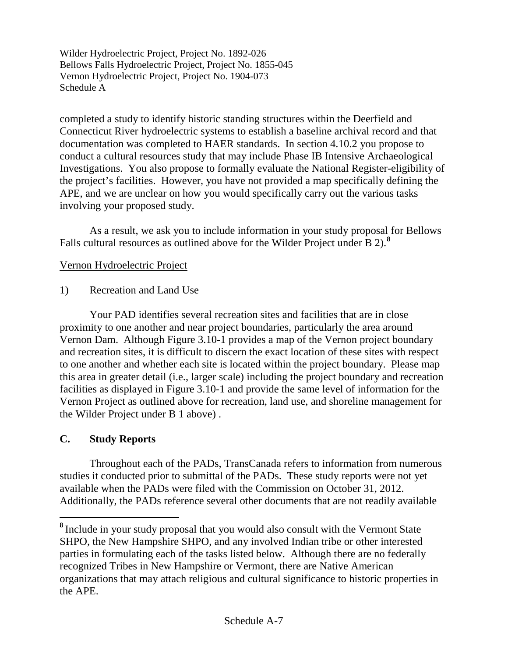completed a study to identify historic standing structures within the Deerfield and Connecticut River hydroelectric systems to establish a baseline archival record and that documentation was completed to HAER standards. In section 4.10.2 you propose to conduct a cultural resources study that may include Phase IB Intensive Archaeological Investigations. You also propose to formally evaluate the National Register-eligibility of the project's facilities. However, you have not provided a map specifically defining the APE, and we are unclear on how you would specifically carry out the various tasks involving your proposed study.

As a result, we ask you to include information in your study proposal for Bellows Falls cultural resources as outlined above for the Wilder Project under B 2).**[8](#page-8-0)**

# Vernon Hydroelectric Project

1) Recreation and Land Use

Your PAD identifies several recreation sites and facilities that are in close proximity to one another and near project boundaries, particularly the area around Vernon Dam. Although Figure 3.10-1 provides a map of the Vernon project boundary and recreation sites, it is difficult to discern the exact location of these sites with respect to one another and whether each site is located within the project boundary. Please map this area in greater detail (i.e., larger scale) including the project boundary and recreation facilities as displayed in Figure 3.10-1 and provide the same level of information for the Vernon Project as outlined above for recreation, land use, and shoreline management for the Wilder Project under B 1 above) .

### **C. Study Reports**

Throughout each of the PADs, TransCanada refers to information from numerous studies it conducted prior to submittal of the PADs. These study reports were not yet available when the PADs were filed with the Commission on October 31, 2012. Additionally, the PADs reference several other documents that are not readily available

<span id="page-8-0"></span>**<sup>8</sup>** Include in your study proposal that you would also consult with the Vermont State SHPO, the New Hampshire SHPO, and any involved Indian tribe or other interested parties in formulating each of the tasks listed below. Although there are no federally recognized Tribes in New Hampshire or Vermont, there are Native American organizations that may attach religious and cultural significance to historic properties in the APE.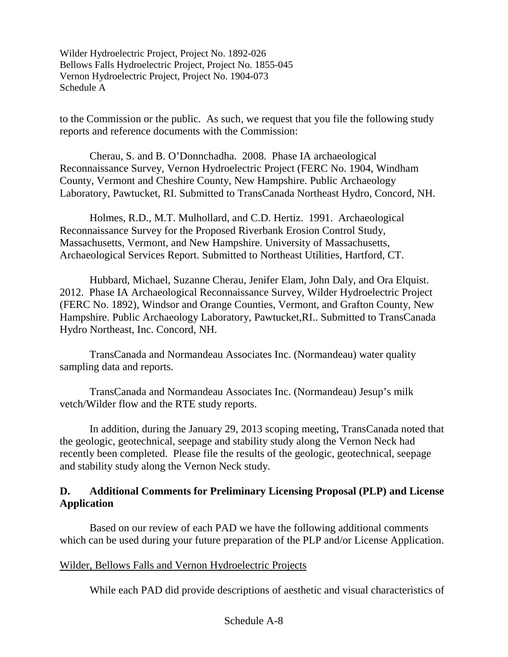to the Commission or the public. As such, we request that you file the following study reports and reference documents with the Commission:

Cherau, S. and B. O'Donnchadha. 2008. Phase IA archaeological Reconnaissance Survey, Vernon Hydroelectric Project (FERC No. 1904, Windham County, Vermont and Cheshire County, New Hampshire. Public Archaeology Laboratory, Pawtucket, RI. Submitted to TransCanada Northeast Hydro, Concord, NH.

Holmes, R.D., M.T. Mulhollard, and C.D. Hertiz. 1991. Archaeological Reconnaissance Survey for the Proposed Riverbank Erosion Control Study, Massachusetts, Vermont, and New Hampshire. University of Massachusetts, Archaeological Services Report. Submitted to Northeast Utilities, Hartford, CT.

Hubbard, Michael, Suzanne Cherau, Jenifer Elam, John Daly, and Ora Elquist. 2012. Phase IA Archaeological Reconnaissance Survey, Wilder Hydroelectric Project (FERC No. 1892), Windsor and Orange Counties, Vermont, and Grafton County, New Hampshire. Public Archaeology Laboratory, Pawtucket,RI.. Submitted to TransCanada Hydro Northeast, Inc. Concord, NH.

TransCanada and Normandeau Associates Inc. (Normandeau) water quality sampling data and reports.

TransCanada and Normandeau Associates Inc. (Normandeau) Jesup's milk vetch/Wilder flow and the RTE study reports.

In addition, during the January 29, 2013 scoping meeting, TransCanada noted that the geologic, geotechnical, seepage and stability study along the Vernon Neck had recently been completed. Please file the results of the geologic, geotechnical, seepage and stability study along the Vernon Neck study.

# **D. Additional Comments for Preliminary Licensing Proposal (PLP) and License Application**

Based on our review of each PAD we have the following additional comments which can be used during your future preparation of the PLP and/or License Application.

### Wilder, Bellows Falls and Vernon Hydroelectric Projects

While each PAD did provide descriptions of aesthetic and visual characteristics of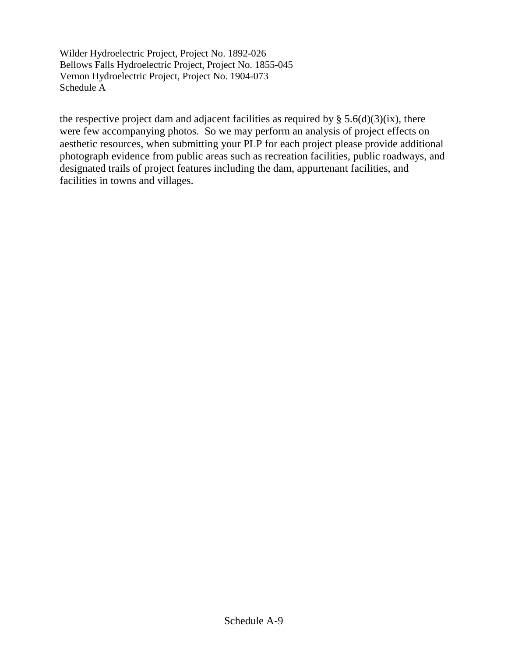the respective project dam and adjacent facilities as required by  $\S$  5.6(d)(3)(ix), there were few accompanying photos. So we may perform an analysis of project effects on aesthetic resources, when submitting your PLP for each project please provide additional photograph evidence from public areas such as recreation facilities, public roadways, and designated trails of project features including the dam, appurtenant facilities, and facilities in towns and villages.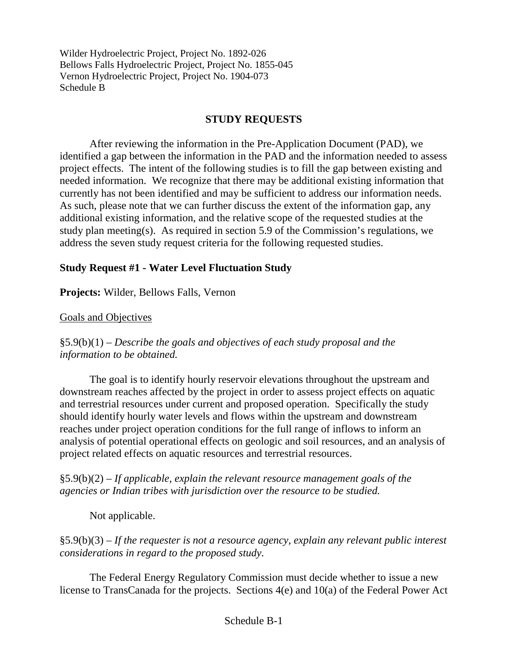### **STUDY REQUESTS**

After reviewing the information in the Pre-Application Document (PAD), we identified a gap between the information in the PAD and the information needed to assess project effects. The intent of the following studies is to fill the gap between existing and needed information. We recognize that there may be additional existing information that currently has not been identified and may be sufficient to address our information needs. As such, please note that we can further discuss the extent of the information gap, any additional existing information, and the relative scope of the requested studies at the study plan meeting(s). As required in section 5.9 of the Commission's regulations, we address the seven study request criteria for the following requested studies.

### **Study Request #1 - Water Level Fluctuation Study**

**Projects:** Wilder, Bellows Falls, Vernon

Goals and Objectives

§5.9(b)(1) – *Describe the goals and objectives of each study proposal and the information to be obtained.*

The goal is to identify hourly reservoir elevations throughout the upstream and downstream reaches affected by the project in order to assess project effects on aquatic and terrestrial resources under current and proposed operation. Specifically the study should identify hourly water levels and flows within the upstream and downstream reaches under project operation conditions for the full range of inflows to inform an analysis of potential operational effects on geologic and soil resources, and an analysis of project related effects on aquatic resources and terrestrial resources.

§5.9(b)(2) – *If applicable, explain the relevant resource management goals of the agencies or Indian tribes with jurisdiction over the resource to be studied.*

Not applicable.

§5.9(b)(3) – *If the requester is not a resource agency, explain any relevant public interest considerations in regard to the proposed study.*

The Federal Energy Regulatory Commission must decide whether to issue a new license to TransCanada for the projects. Sections 4(e) and 10(a) of the Federal Power Act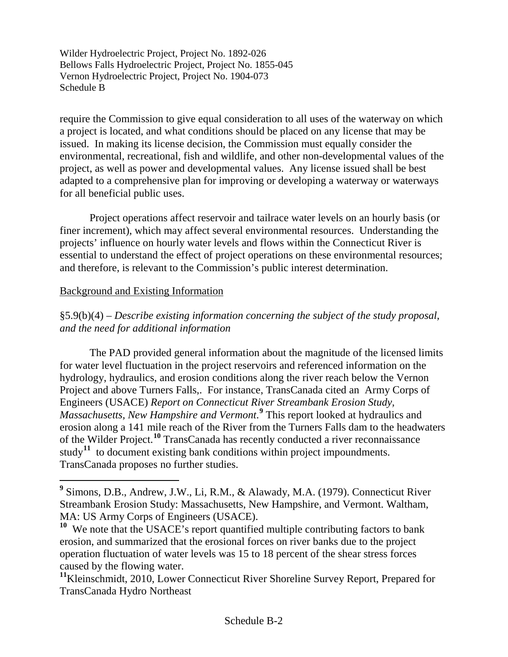require the Commission to give equal consideration to all uses of the waterway on which a project is located, and what conditions should be placed on any license that may be issued. In making its license decision, the Commission must equally consider the environmental, recreational, fish and wildlife, and other non-developmental values of the project, as well as power and developmental values. Any license issued shall be best adapted to a comprehensive plan for improving or developing a waterway or waterways for all beneficial public uses.

Project operations affect reservoir and tailrace water levels on an hourly basis (or finer increment), which may affect several environmental resources. Understanding the projects' influence on hourly water levels and flows within the Connecticut River is essential to understand the effect of project operations on these environmental resources; and therefore, is relevant to the Commission's public interest determination.

#### Background and Existing Information

§5.9(b)(4) – *Describe existing information concerning the subject of the study proposal, and the need for additional information*

The PAD provided general information about the magnitude of the licensed limits for water level fluctuation in the project reservoirs and referenced information on the hydrology, hydraulics, and erosion conditions along the river reach below the Vernon Project and above Turners Falls,. For instance, TransCanada cited an Army Corps of Engineers (USACE) *Report on Connecticut River Streambank Erosion Study, Massachusetts, New Hampshire and Vermont*. **[9](#page-12-0)** This report looked at hydraulics and erosion along a 141 mile reach of the River from the Turners Falls dam to the headwaters of the Wilder Project.**[10](#page-12-1)** TransCanada has recently conducted a river reconnaissance study<sup>[11](#page-12-2)</sup> to document existing bank conditions within project impoundments. TransCanada proposes no further studies.

<span id="page-12-0"></span>**<sup>9</sup>** Simons, D.B., Andrew, J.W., Li, R.M., & Alawady, M.A. (1979). Connecticut River Streambank Erosion Study: Massachusetts, New Hampshire, and Vermont. Waltham, MA: US Army Corps of Engineers (USACE).

<span id="page-12-1"></span><sup>&</sup>lt;sup>10</sup> We note that the USACE's report quantified multiple contributing factors to bank erosion, and summarized that the erosional forces on river banks due to the project operation fluctuation of water levels was 15 to 18 percent of the shear stress forces caused by the flowing water.

<span id="page-12-2"></span>**<sup>11</sup>**Kleinschmidt, 2010, Lower Connecticut River Shoreline Survey Report, Prepared for TransCanada Hydro Northeast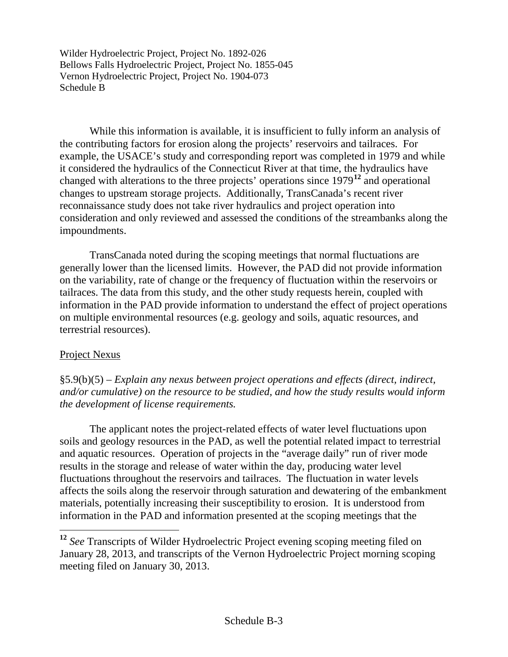While this information is available, it is insufficient to fully inform an analysis of the contributing factors for erosion along the projects' reservoirs and tailraces. For example, the USACE's study and corresponding report was completed in 1979 and while it considered the hydraulics of the Connecticut River at that time, the hydraulics have changed with alterations to the three projects' operations since 1979**[12](#page-13-0)** and operational changes to upstream storage projects. Additionally, TransCanada's recent river reconnaissance study does not take river hydraulics and project operation into consideration and only reviewed and assessed the conditions of the streambanks along the impoundments.

TransCanada noted during the scoping meetings that normal fluctuations are generally lower than the licensed limits. However, the PAD did not provide information on the variability, rate of change or the frequency of fluctuation within the reservoirs or tailraces. The data from this study, and the other study requests herein, coupled with information in the PAD provide information to understand the effect of project operations on multiple environmental resources (e.g. geology and soils, aquatic resources, and terrestrial resources).

### Project Nexus

§5.9(b)(5) – *Explain any nexus between project operations and effects (direct, indirect, and/or cumulative) on the resource to be studied, and how the study results would inform the development of license requirements.*

The applicant notes the project-related effects of water level fluctuations upon soils and geology resources in the PAD, as well the potential related impact to terrestrial and aquatic resources. Operation of projects in the "average daily" run of river mode results in the storage and release of water within the day, producing water level fluctuations throughout the reservoirs and tailraces. The fluctuation in water levels affects the soils along the reservoir through saturation and dewatering of the embankment materials, potentially increasing their susceptibility to erosion. It is understood from information in the PAD and information presented at the scoping meetings that the

<span id="page-13-0"></span>**<sup>12</sup>** *See* Transcripts of Wilder Hydroelectric Project evening scoping meeting filed on January 28, 2013, and transcripts of the Vernon Hydroelectric Project morning scoping meeting filed on January 30, 2013.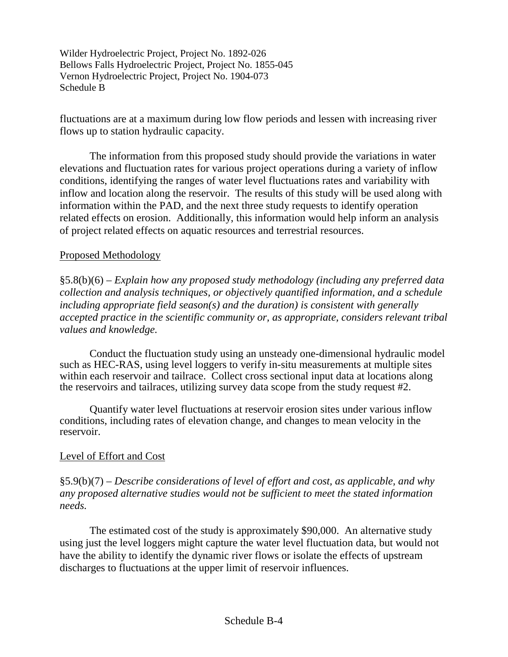fluctuations are at a maximum during low flow periods and lessen with increasing river flows up to station hydraulic capacity.

The information from this proposed study should provide the variations in water elevations and fluctuation rates for various project operations during a variety of inflow conditions, identifying the ranges of water level fluctuations rates and variability with inflow and location along the reservoir. The results of this study will be used along with information within the PAD, and the next three study requests to identify operation related effects on erosion. Additionally, this information would help inform an analysis of project related effects on aquatic resources and terrestrial resources.

### Proposed Methodology

§5.8(b)(6) – *Explain how any proposed study methodology (including any preferred data collection and analysis techniques, or objectively quantified information, and a schedule including appropriate field season(s) and the duration) is consistent with generally accepted practice in the scientific community or, as appropriate, considers relevant tribal values and knowledge.*

Conduct the fluctuation study using an unsteady one-dimensional hydraulic model such as HEC-RAS, using level loggers to verify in-situ measurements at multiple sites within each reservoir and tailrace. Collect cross sectional input data at locations along the reservoirs and tailraces, utilizing survey data scope from the study request #2.

Quantify water level fluctuations at reservoir erosion sites under various inflow conditions, including rates of elevation change, and changes to mean velocity in the reservoir.

# Level of Effort and Cost

§5.9(b)(7) – *Describe considerations of level of effort and cost, as applicable, and why any proposed alternative studies would not be sufficient to meet the stated information needs.*

The estimated cost of the study is approximately \$90,000. An alternative study using just the level loggers might capture the water level fluctuation data, but would not have the ability to identify the dynamic river flows or isolate the effects of upstream discharges to fluctuations at the upper limit of reservoir influences.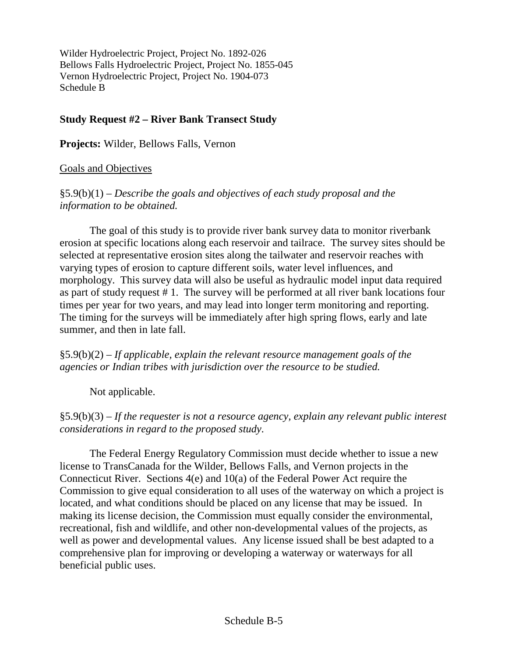# **Study Request #2 – River Bank Transect Study**

**Projects:** Wilder, Bellows Falls, Vernon

### Goals and Objectives

§5.9(b)(1) – *Describe the goals and objectives of each study proposal and the information to be obtained.*

The goal of this study is to provide river bank survey data to monitor riverbank erosion at specific locations along each reservoir and tailrace. The survey sites should be selected at representative erosion sites along the tailwater and reservoir reaches with varying types of erosion to capture different soils, water level influences, and morphology. This survey data will also be useful as hydraulic model input data required as part of study request # 1. The survey will be performed at all river bank locations four times per year for two years, and may lead into longer term monitoring and reporting. The timing for the surveys will be immediately after high spring flows, early and late summer, and then in late fall.

§5.9(b)(2) – *If applicable, explain the relevant resource management goals of the agencies or Indian tribes with jurisdiction over the resource to be studied.*

Not applicable.

§5.9(b)(3) – *If the requester is not a resource agency, explain any relevant public interest considerations in regard to the proposed study.*

The Federal Energy Regulatory Commission must decide whether to issue a new license to TransCanada for the Wilder, Bellows Falls, and Vernon projects in the Connecticut River. Sections 4(e) and 10(a) of the Federal Power Act require the Commission to give equal consideration to all uses of the waterway on which a project is located, and what conditions should be placed on any license that may be issued. In making its license decision, the Commission must equally consider the environmental, recreational, fish and wildlife, and other non-developmental values of the projects, as well as power and developmental values. Any license issued shall be best adapted to a comprehensive plan for improving or developing a waterway or waterways for all beneficial public uses.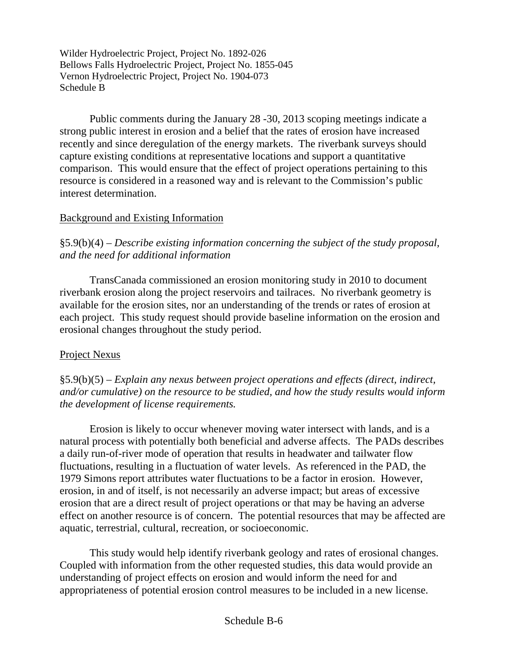Public comments during the January 28 -30, 2013 scoping meetings indicate a strong public interest in erosion and a belief that the rates of erosion have increased recently and since deregulation of the energy markets. The riverbank surveys should capture existing conditions at representative locations and support a quantitative comparison. This would ensure that the effect of project operations pertaining to this resource is considered in a reasoned way and is relevant to the Commission's public interest determination.

### Background and Existing Information

§5.9(b)(4) – *Describe existing information concerning the subject of the study proposal, and the need for additional information*

TransCanada commissioned an erosion monitoring study in 2010 to document riverbank erosion along the project reservoirs and tailraces. No riverbank geometry is available for the erosion sites, nor an understanding of the trends or rates of erosion at each project. This study request should provide baseline information on the erosion and erosional changes throughout the study period.

# Project Nexus

§5.9(b)(5) – *Explain any nexus between project operations and effects (direct, indirect, and/or cumulative) on the resource to be studied, and how the study results would inform the development of license requirements.*

Erosion is likely to occur whenever moving water intersect with lands, and is a natural process with potentially both beneficial and adverse affects. The PADs describes a daily run-of-river mode of operation that results in headwater and tailwater flow fluctuations, resulting in a fluctuation of water levels. As referenced in the PAD, the 1979 Simons report attributes water fluctuations to be a factor in erosion. However, erosion, in and of itself, is not necessarily an adverse impact; but areas of excessive erosion that are a direct result of project operations or that may be having an adverse effect on another resource is of concern. The potential resources that may be affected are aquatic, terrestrial, cultural, recreation, or socioeconomic.

This study would help identify riverbank geology and rates of erosional changes. Coupled with information from the other requested studies, this data would provide an understanding of project effects on erosion and would inform the need for and appropriateness of potential erosion control measures to be included in a new license.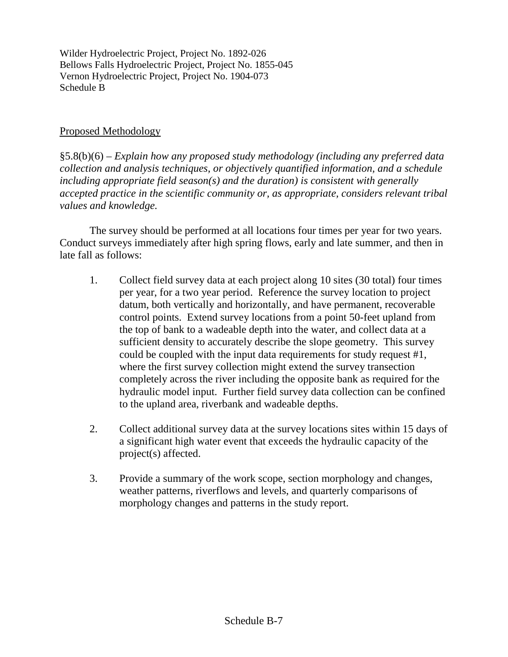### Proposed Methodology

§5.8(b)(6) – *Explain how any proposed study methodology (including any preferred data collection and analysis techniques, or objectively quantified information, and a schedule including appropriate field season(s) and the duration) is consistent with generally accepted practice in the scientific community or, as appropriate, considers relevant tribal values and knowledge.*

The survey should be performed at all locations four times per year for two years. Conduct surveys immediately after high spring flows, early and late summer, and then in late fall as follows:

- 1. Collect field survey data at each project along 10 sites (30 total) four times per year, for a two year period. Reference the survey location to project datum, both vertically and horizontally, and have permanent, recoverable control points. Extend survey locations from a point 50-feet upland from the top of bank to a wadeable depth into the water, and collect data at a sufficient density to accurately describe the slope geometry. This survey could be coupled with the input data requirements for study request #1, where the first survey collection might extend the survey transection completely across the river including the opposite bank as required for the hydraulic model input. Further field survey data collection can be confined to the upland area, riverbank and wadeable depths.
- 2. Collect additional survey data at the survey locations sites within 15 days of a significant high water event that exceeds the hydraulic capacity of the project(s) affected.
- 3. Provide a summary of the work scope, section morphology and changes, weather patterns, riverflows and levels, and quarterly comparisons of morphology changes and patterns in the study report.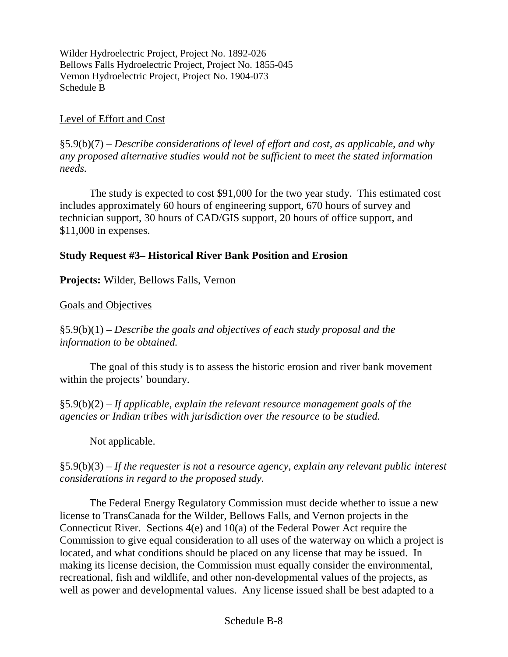### Level of Effort and Cost

§5.9(b)(7) – *Describe considerations of level of effort and cost, as applicable, and why any proposed alternative studies would not be sufficient to meet the stated information needs.*

The study is expected to cost \$91,000 for the two year study. This estimated cost includes approximately 60 hours of engineering support, 670 hours of survey and technician support, 30 hours of CAD/GIS support, 20 hours of office support, and \$11,000 in expenses.

#### **Study Request #3– Historical River Bank Position and Erosion**

**Projects:** Wilder, Bellows Falls, Vernon

#### Goals and Objectives

§5.9(b)(1) – *Describe the goals and objectives of each study proposal and the information to be obtained.*

The goal of this study is to assess the historic erosion and river bank movement within the projects' boundary.

§5.9(b)(2) – *If applicable, explain the relevant resource management goals of the agencies or Indian tribes with jurisdiction over the resource to be studied.*

Not applicable.

§5.9(b)(3) – *If the requester is not a resource agency, explain any relevant public interest considerations in regard to the proposed study.*

The Federal Energy Regulatory Commission must decide whether to issue a new license to TransCanada for the Wilder, Bellows Falls, and Vernon projects in the Connecticut River. Sections 4(e) and 10(a) of the Federal Power Act require the Commission to give equal consideration to all uses of the waterway on which a project is located, and what conditions should be placed on any license that may be issued. In making its license decision, the Commission must equally consider the environmental, recreational, fish and wildlife, and other non-developmental values of the projects, as well as power and developmental values. Any license issued shall be best adapted to a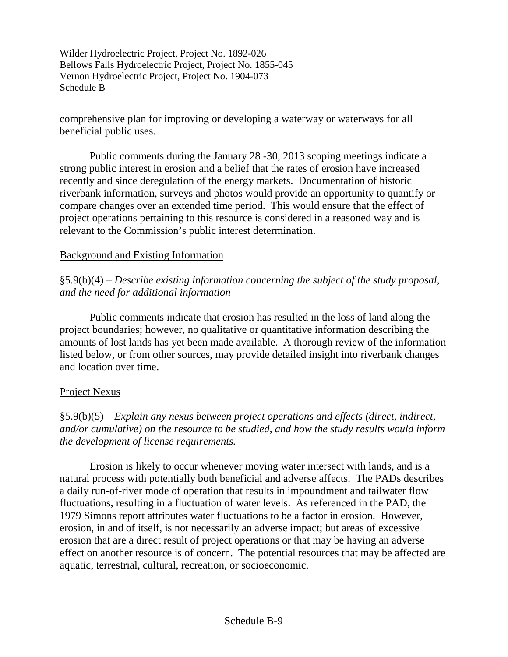comprehensive plan for improving or developing a waterway or waterways for all beneficial public uses.

Public comments during the January 28 -30, 2013 scoping meetings indicate a strong public interest in erosion and a belief that the rates of erosion have increased recently and since deregulation of the energy markets. Documentation of historic riverbank information, surveys and photos would provide an opportunity to quantify or compare changes over an extended time period. This would ensure that the effect of project operations pertaining to this resource is considered in a reasoned way and is relevant to the Commission's public interest determination.

### Background and Existing Information

# §5.9(b)(4) – *Describe existing information concerning the subject of the study proposal, and the need for additional information*

Public comments indicate that erosion has resulted in the loss of land along the project boundaries; however, no qualitative or quantitative information describing the amounts of lost lands has yet been made available. A thorough review of the information listed below, or from other sources, may provide detailed insight into riverbank changes and location over time.

### Project Nexus

# §5.9(b)(5) – *Explain any nexus between project operations and effects (direct, indirect, and/or cumulative) on the resource to be studied, and how the study results would inform the development of license requirements.*

Erosion is likely to occur whenever moving water intersect with lands, and is a natural process with potentially both beneficial and adverse affects. The PADs describes a daily run-of-river mode of operation that results in impoundment and tailwater flow fluctuations, resulting in a fluctuation of water levels. As referenced in the PAD, the 1979 Simons report attributes water fluctuations to be a factor in erosion. However, erosion, in and of itself, is not necessarily an adverse impact; but areas of excessive erosion that are a direct result of project operations or that may be having an adverse effect on another resource is of concern. The potential resources that may be affected are aquatic, terrestrial, cultural, recreation, or socioeconomic.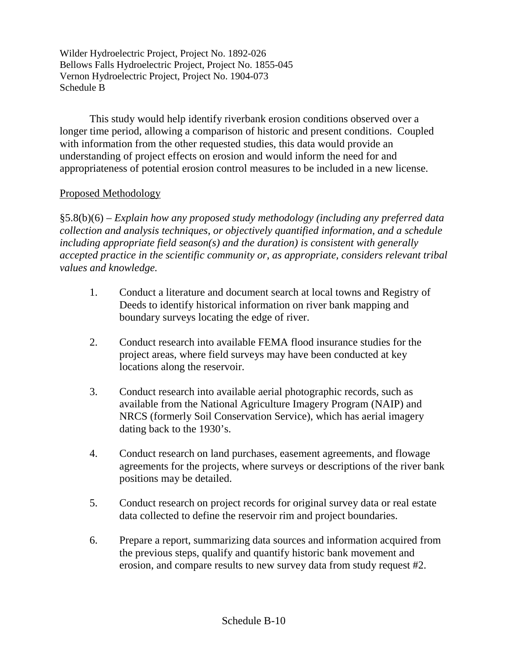This study would help identify riverbank erosion conditions observed over a longer time period, allowing a comparison of historic and present conditions. Coupled with information from the other requested studies, this data would provide an understanding of project effects on erosion and would inform the need for and appropriateness of potential erosion control measures to be included in a new license.

### Proposed Methodology

§5.8(b)(6) – *Explain how any proposed study methodology (including any preferred data collection and analysis techniques, or objectively quantified information, and a schedule including appropriate field season(s) and the duration) is consistent with generally accepted practice in the scientific community or, as appropriate, considers relevant tribal values and knowledge.*

- 1. Conduct a literature and document search at local towns and Registry of Deeds to identify historical information on river bank mapping and boundary surveys locating the edge of river.
- 2. Conduct research into available FEMA flood insurance studies for the project areas, where field surveys may have been conducted at key locations along the reservoir.
- 3. Conduct research into available aerial photographic records, such as available from the National Agriculture Imagery Program (NAIP) and NRCS (formerly Soil Conservation Service), which has aerial imagery dating back to the 1930's.
- 4. Conduct research on land purchases, easement agreements, and flowage agreements for the projects, where surveys or descriptions of the river bank positions may be detailed.
- 5. Conduct research on project records for original survey data or real estate data collected to define the reservoir rim and project boundaries.
- 6. Prepare a report, summarizing data sources and information acquired from the previous steps, qualify and quantify historic bank movement and erosion, and compare results to new survey data from study request #2.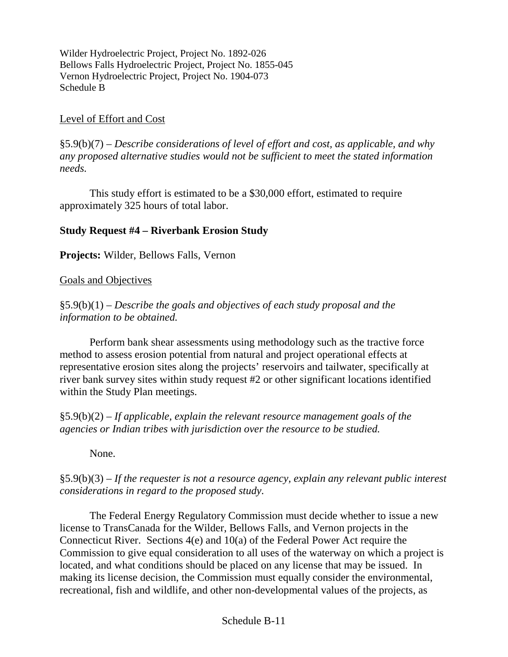### Level of Effort and Cost

§5.9(b)(7) – *Describe considerations of level of effort and cost, as applicable, and why any proposed alternative studies would not be sufficient to meet the stated information needs.*

This study effort is estimated to be a \$30,000 effort, estimated to require approximately 325 hours of total labor.

### **Study Request #4 – Riverbank Erosion Study**

**Projects:** Wilder, Bellows Falls, Vernon

#### Goals and Objectives

§5.9(b)(1) – *Describe the goals and objectives of each study proposal and the information to be obtained.*

Perform bank shear assessments using methodology such as the tractive force method to assess erosion potential from natural and project operational effects at representative erosion sites along the projects' reservoirs and tailwater, specifically at river bank survey sites within study request #2 or other significant locations identified within the Study Plan meetings.

§5.9(b)(2) – *If applicable, explain the relevant resource management goals of the agencies or Indian tribes with jurisdiction over the resource to be studied.*

None.

§5.9(b)(3) – *If the requester is not a resource agency, explain any relevant public interest considerations in regard to the proposed study.*

The Federal Energy Regulatory Commission must decide whether to issue a new license to TransCanada for the Wilder, Bellows Falls, and Vernon projects in the Connecticut River. Sections 4(e) and 10(a) of the Federal Power Act require the Commission to give equal consideration to all uses of the waterway on which a project is located, and what conditions should be placed on any license that may be issued. In making its license decision, the Commission must equally consider the environmental, recreational, fish and wildlife, and other non-developmental values of the projects, as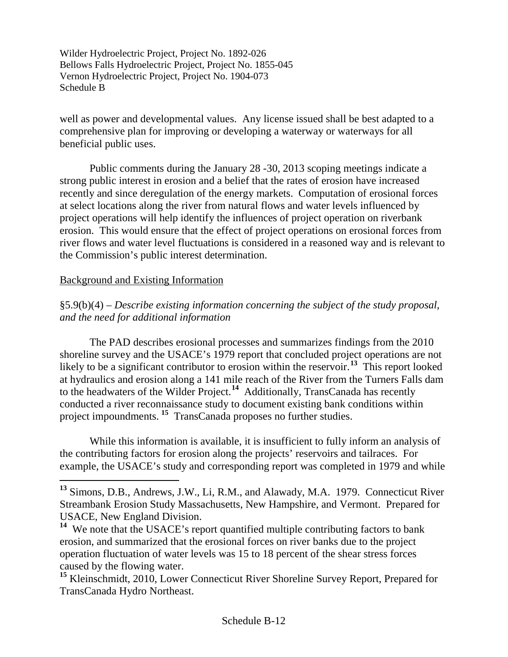well as power and developmental values. Any license issued shall be best adapted to a comprehensive plan for improving or developing a waterway or waterways for all beneficial public uses.

Public comments during the January 28 -30, 2013 scoping meetings indicate a strong public interest in erosion and a belief that the rates of erosion have increased recently and since deregulation of the energy markets. Computation of erosional forces at select locations along the river from natural flows and water levels influenced by project operations will help identify the influences of project operation on riverbank erosion. This would ensure that the effect of project operations on erosional forces from river flows and water level fluctuations is considered in a reasoned way and is relevant to the Commission's public interest determination.

### Background and Existing Information

§5.9(b)(4) – *Describe existing information concerning the subject of the study proposal, and the need for additional information*

The PAD describes erosional processes and summarizes findings from the 2010 shoreline survey and the USACE's 1979 report that concluded project operations are not likely to be a significant contributor to erosion within the reservoir.<sup>[13](#page-22-0)</sup> This report looked at hydraulics and erosion along a 141 mile reach of the River from the Turners Falls dam to the headwaters of the Wilder Project.**[14](#page-22-1)** Additionally, TransCanada has recently conducted a river reconnaissance study to document existing bank conditions within project impoundments. **[15](#page-22-2)** TransCanada proposes no further studies.

While this information is available, it is insufficient to fully inform an analysis of the contributing factors for erosion along the projects' reservoirs and tailraces. For example, the USACE's study and corresponding report was completed in 1979 and while

<span id="page-22-0"></span>**<sup>13</sup>** Simons, D.B., Andrews, J.W., Li, R.M., and Alawady, M.A. 1979. Connecticut River Streambank Erosion Study Massachusetts, New Hampshire, and Vermont. Prepared for USACE, New England Division.

<span id="page-22-1"></span>**<sup>14</sup>** We note that the USACE's report quantified multiple contributing factors to bank erosion, and summarized that the erosional forces on river banks due to the project operation fluctuation of water levels was 15 to 18 percent of the shear stress forces caused by the flowing water.

<span id="page-22-2"></span>**<sup>15</sup>** Kleinschmidt, 2010, Lower Connecticut River Shoreline Survey Report, Prepared for TransCanada Hydro Northeast.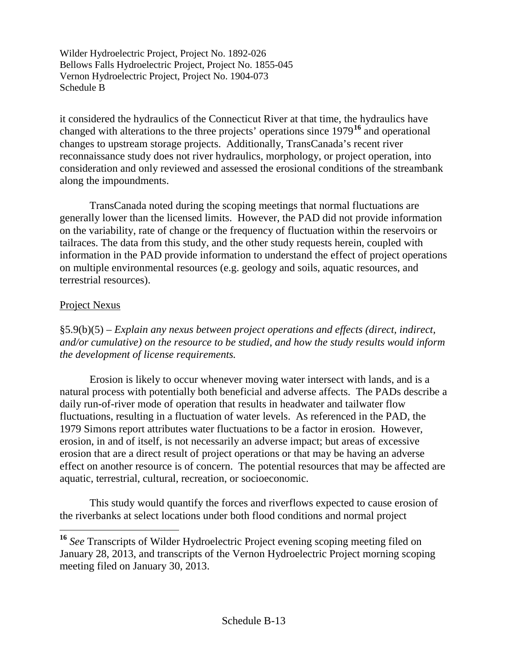it considered the hydraulics of the Connecticut River at that time, the hydraulics have changed with alterations to the three projects' operations since 1979**[16](#page-23-0)** and operational changes to upstream storage projects. Additionally, TransCanada's recent river reconnaissance study does not river hydraulics, morphology, or project operation, into consideration and only reviewed and assessed the erosional conditions of the streambank along the impoundments.

TransCanada noted during the scoping meetings that normal fluctuations are generally lower than the licensed limits. However, the PAD did not provide information on the variability, rate of change or the frequency of fluctuation within the reservoirs or tailraces. The data from this study, and the other study requests herein, coupled with information in the PAD provide information to understand the effect of project operations on multiple environmental resources (e.g. geology and soils, aquatic resources, and terrestrial resources).

### Project Nexus

§5.9(b)(5) – *Explain any nexus between project operations and effects (direct, indirect, and/or cumulative) on the resource to be studied, and how the study results would inform the development of license requirements.*

Erosion is likely to occur whenever moving water intersect with lands, and is a natural process with potentially both beneficial and adverse affects. The PADs describe a daily run-of-river mode of operation that results in headwater and tailwater flow fluctuations, resulting in a fluctuation of water levels. As referenced in the PAD, the 1979 Simons report attributes water fluctuations to be a factor in erosion. However, erosion, in and of itself, is not necessarily an adverse impact; but areas of excessive erosion that are a direct result of project operations or that may be having an adverse effect on another resource is of concern. The potential resources that may be affected are aquatic, terrestrial, cultural, recreation, or socioeconomic.

This study would quantify the forces and riverflows expected to cause erosion of the riverbanks at select locations under both flood conditions and normal project

<span id="page-23-0"></span>**<sup>16</sup>** *See* Transcripts of Wilder Hydroelectric Project evening scoping meeting filed on January 28, 2013, and transcripts of the Vernon Hydroelectric Project morning scoping meeting filed on January 30, 2013.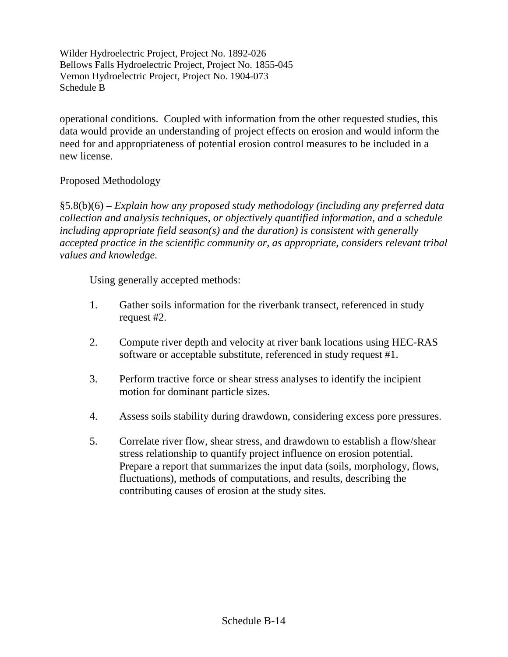operational conditions. Coupled with information from the other requested studies, this data would provide an understanding of project effects on erosion and would inform the need for and appropriateness of potential erosion control measures to be included in a new license.

### Proposed Methodology

§5.8(b)(6) – *Explain how any proposed study methodology (including any preferred data collection and analysis techniques, or objectively quantified information, and a schedule including appropriate field season(s) and the duration) is consistent with generally accepted practice in the scientific community or, as appropriate, considers relevant tribal values and knowledge.*

Using generally accepted methods:

- 1. Gather soils information for the riverbank transect, referenced in study request #2.
- 2. Compute river depth and velocity at river bank locations using HEC-RAS software or acceptable substitute, referenced in study request #1.
- 3. Perform tractive force or shear stress analyses to identify the incipient motion for dominant particle sizes.
- 4. Assess soils stability during drawdown, considering excess pore pressures.
- 5. Correlate river flow, shear stress, and drawdown to establish a flow/shear stress relationship to quantify project influence on erosion potential. Prepare a report that summarizes the input data (soils, morphology, flows, fluctuations), methods of computations, and results, describing the contributing causes of erosion at the study sites.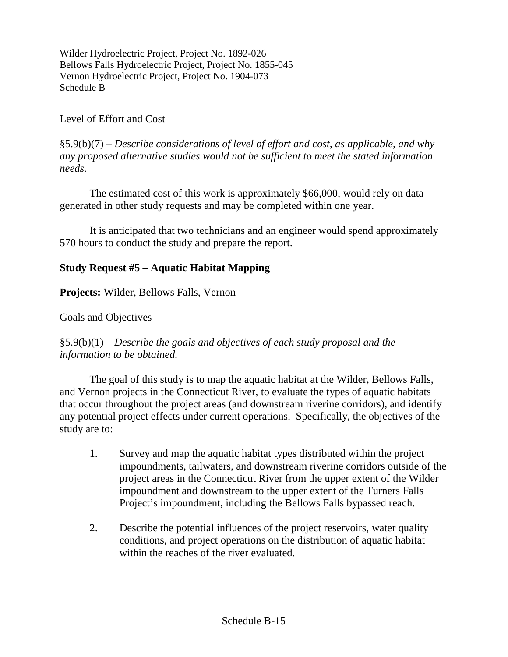#### Level of Effort and Cost

§5.9(b)(7) – *Describe considerations of level of effort and cost, as applicable, and why any proposed alternative studies would not be sufficient to meet the stated information needs.*

The estimated cost of this work is approximately \$66,000, would rely on data generated in other study requests and may be completed within one year.

It is anticipated that two technicians and an engineer would spend approximately 570 hours to conduct the study and prepare the report.

### **Study Request #5 – Aquatic Habitat Mapping**

**Projects:** Wilder, Bellows Falls, Vernon

#### Goals and Objectives

### §5.9(b)(1) – *Describe the goals and objectives of each study proposal and the information to be obtained.*

The goal of this study is to map the aquatic habitat at the Wilder, Bellows Falls, and Vernon projects in the Connecticut River, to evaluate the types of aquatic habitats that occur throughout the project areas (and downstream riverine corridors), and identify any potential project effects under current operations. Specifically, the objectives of the study are to:

- 1. Survey and map the aquatic habitat types distributed within the project impoundments, tailwaters, and downstream riverine corridors outside of the project areas in the Connecticut River from the upper extent of the Wilder impoundment and downstream to the upper extent of the Turners Falls Project's impoundment, including the Bellows Falls bypassed reach.
- 2. Describe the potential influences of the project reservoirs, water quality conditions, and project operations on the distribution of aquatic habitat within the reaches of the river evaluated.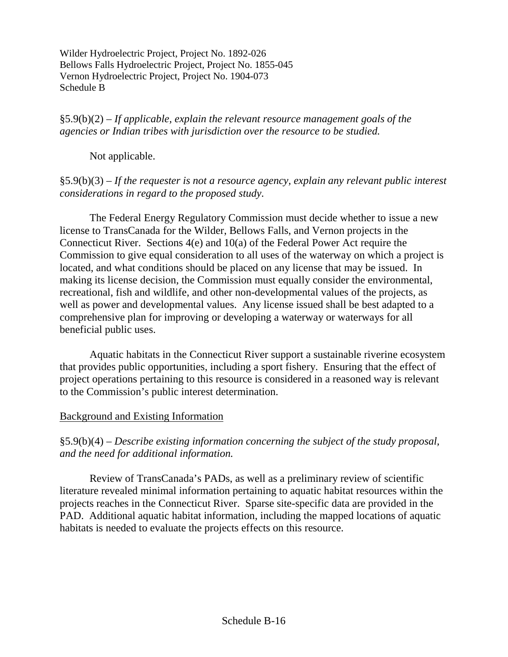§5.9(b)(2) – *If applicable, explain the relevant resource management goals of the agencies or Indian tribes with jurisdiction over the resource to be studied.*

Not applicable.

### §5.9(b)(3) – *If the requester is not a resource agency, explain any relevant public interest considerations in regard to the proposed study.*

The Federal Energy Regulatory Commission must decide whether to issue a new license to TransCanada for the Wilder, Bellows Falls, and Vernon projects in the Connecticut River. Sections 4(e) and 10(a) of the Federal Power Act require the Commission to give equal consideration to all uses of the waterway on which a project is located, and what conditions should be placed on any license that may be issued. In making its license decision, the Commission must equally consider the environmental, recreational, fish and wildlife, and other non-developmental values of the projects, as well as power and developmental values. Any license issued shall be best adapted to a comprehensive plan for improving or developing a waterway or waterways for all beneficial public uses.

Aquatic habitats in the Connecticut River support a sustainable riverine ecosystem that provides public opportunities, including a sport fishery. Ensuring that the effect of project operations pertaining to this resource is considered in a reasoned way is relevant to the Commission's public interest determination.

### Background and Existing Information

# §5.9(b)(4) – *Describe existing information concerning the subject of the study proposal, and the need for additional information.*

Review of TransCanada's PADs, as well as a preliminary review of scientific literature revealed minimal information pertaining to aquatic habitat resources within the projects reaches in the Connecticut River. Sparse site-specific data are provided in the PAD. Additional aquatic habitat information, including the mapped locations of aquatic habitats is needed to evaluate the projects effects on this resource.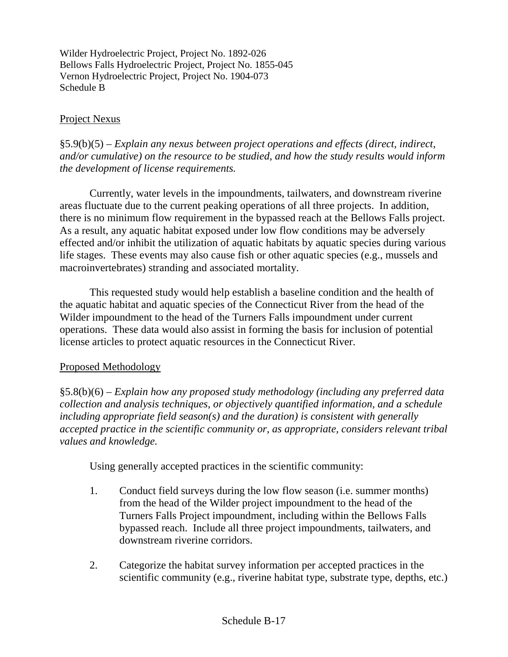### Project Nexus

§5.9(b)(5) – *Explain any nexus between project operations and effects (direct, indirect, and/or cumulative) on the resource to be studied, and how the study results would inform the development of license requirements.*

Currently, water levels in the impoundments, tailwaters, and downstream riverine areas fluctuate due to the current peaking operations of all three projects. In addition, there is no minimum flow requirement in the bypassed reach at the Bellows Falls project. As a result, any aquatic habitat exposed under low flow conditions may be adversely effected and/or inhibit the utilization of aquatic habitats by aquatic species during various life stages. These events may also cause fish or other aquatic species (e.g., mussels and macroinvertebrates) stranding and associated mortality.

This requested study would help establish a baseline condition and the health of the aquatic habitat and aquatic species of the Connecticut River from the head of the Wilder impoundment to the head of the Turners Falls impoundment under current operations. These data would also assist in forming the basis for inclusion of potential license articles to protect aquatic resources in the Connecticut River.

### Proposed Methodology

§5.8(b)(6) – *Explain how any proposed study methodology (including any preferred data collection and analysis techniques, or objectively quantified information, and a schedule including appropriate field season(s) and the duration) is consistent with generally accepted practice in the scientific community or, as appropriate, considers relevant tribal values and knowledge.*

Using generally accepted practices in the scientific community:

- 1. Conduct field surveys during the low flow season (i.e. summer months) from the head of the Wilder project impoundment to the head of the Turners Falls Project impoundment, including within the Bellows Falls bypassed reach. Include all three project impoundments, tailwaters, and downstream riverine corridors.
- 2. Categorize the habitat survey information per accepted practices in the scientific community (e.g., riverine habitat type, substrate type, depths, etc.)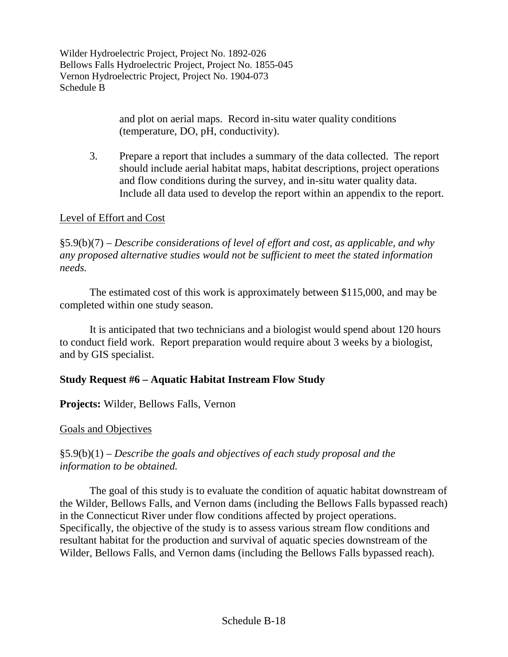> and plot on aerial maps. Record in-situ water quality conditions (temperature, DO, pH, conductivity).

3. Prepare a report that includes a summary of the data collected. The report should include aerial habitat maps, habitat descriptions, project operations and flow conditions during the survey, and in-situ water quality data. Include all data used to develop the report within an appendix to the report.

### Level of Effort and Cost

§5.9(b)(7) – *Describe considerations of level of effort and cost, as applicable, and why any proposed alternative studies would not be sufficient to meet the stated information needs.*

The estimated cost of this work is approximately between \$115,000, and may be completed within one study season.

It is anticipated that two technicians and a biologist would spend about 120 hours to conduct field work. Report preparation would require about 3 weeks by a biologist, and by GIS specialist.

# **Study Request #6 – Aquatic Habitat Instream Flow Study**

### **Projects:** Wilder, Bellows Falls, Vernon

### Goals and Objectives

# §5.9(b)(1) – *Describe the goals and objectives of each study proposal and the information to be obtained.*

The goal of this study is to evaluate the condition of aquatic habitat downstream of the Wilder, Bellows Falls, and Vernon dams (including the Bellows Falls bypassed reach) in the Connecticut River under flow conditions affected by project operations. Specifically, the objective of the study is to assess various stream flow conditions and resultant habitat for the production and survival of aquatic species downstream of the Wilder, Bellows Falls, and Vernon dams (including the Bellows Falls bypassed reach).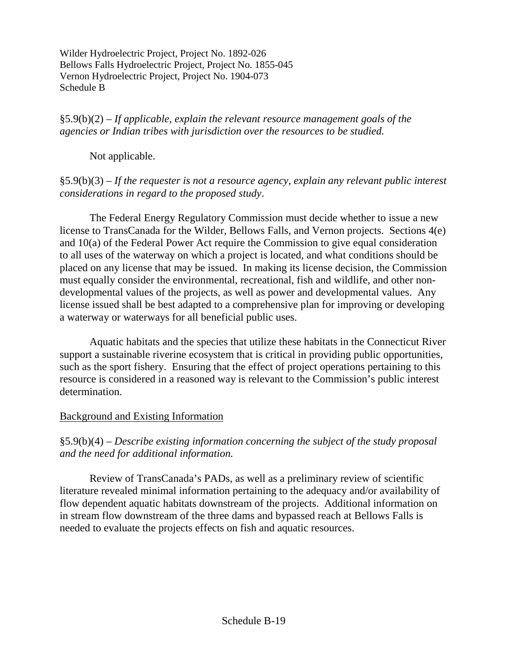§5.9(b)(2) *– If applicable, explain the relevant resource management goals of the agencies or Indian tribes with jurisdiction over the resources to be studied.*

Not applicable.

### §5.9(b)(3) *– If the requester is not a resource agency, explain any relevant public interest considerations in regard to the proposed study*.

The Federal Energy Regulatory Commission must decide whether to issue a new license to TransCanada for the Wilder, Bellows Falls, and Vernon projects. Sections 4(e) and 10(a) of the Federal Power Act require the Commission to give equal consideration to all uses of the waterway on which a project is located, and what conditions should be placed on any license that may be issued. In making its license decision, the Commission must equally consider the environmental, recreational, fish and wildlife, and other nondevelopmental values of the projects, as well as power and developmental values. Any license issued shall be best adapted to a comprehensive plan for improving or developing a waterway or waterways for all beneficial public uses.

Aquatic habitats and the species that utilize these habitats in the Connecticut River support a sustainable riverine ecosystem that is critical in providing public opportunities, such as the sport fishery. Ensuring that the effect of project operations pertaining to this resource is considered in a reasoned way is relevant to the Commission's public interest determination.

### Background and Existing Information

§5.9(b)(4) *– Describe existing information concerning the subject of the study proposal and the need for additional information.*

Review of TransCanada's PADs, as well as a preliminary review of scientific literature revealed minimal information pertaining to the adequacy and/or availability of flow dependent aquatic habitats downstream of the projects. Additional information on in stream flow downstream of the three dams and bypassed reach at Bellows Falls is needed to evaluate the projects effects on fish and aquatic resources.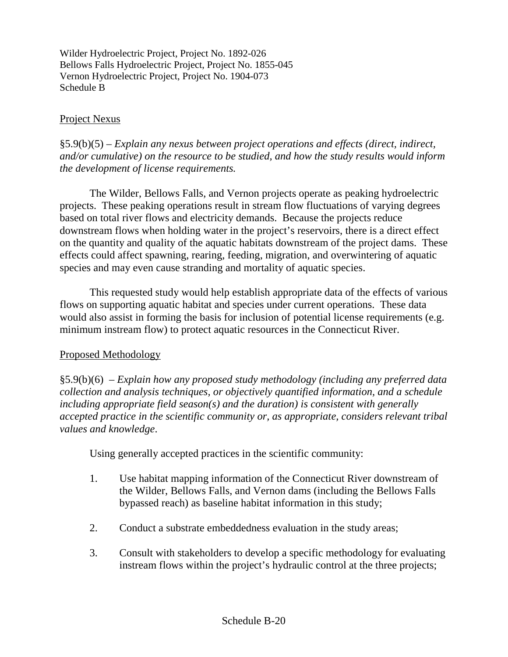### Project Nexus

§5.9(b)(5) *– Explain any nexus between project operations and effects (direct, indirect, and/or cumulative) on the resource to be studied, and how the study results would inform the development of license requirements.*

The Wilder, Bellows Falls, and Vernon projects operate as peaking hydroelectric projects. These peaking operations result in stream flow fluctuations of varying degrees based on total river flows and electricity demands. Because the projects reduce downstream flows when holding water in the project's reservoirs, there is a direct effect on the quantity and quality of the aquatic habitats downstream of the project dams. These effects could affect spawning, rearing, feeding, migration, and overwintering of aquatic species and may even cause stranding and mortality of aquatic species.

This requested study would help establish appropriate data of the effects of various flows on supporting aquatic habitat and species under current operations. These data would also assist in forming the basis for inclusion of potential license requirements (e.g. minimum instream flow) to protect aquatic resources in the Connecticut River.

### Proposed Methodology

§5.9(b)(6) *– Explain how any proposed study methodology (including any preferred data collection and analysis techniques, or objectively quantified information, and a schedule including appropriate field season(s) and the duration) is consistent with generally accepted practice in the scientific community or, as appropriate, considers relevant tribal values and knowledge*.

Using generally accepted practices in the scientific community:

- 1. Use habitat mapping information of the Connecticut River downstream of the Wilder, Bellows Falls, and Vernon dams (including the Bellows Falls bypassed reach) as baseline habitat information in this study;
- 2. Conduct a substrate embeddedness evaluation in the study areas;
- 3. Consult with stakeholders to develop a specific methodology for evaluating instream flows within the project's hydraulic control at the three projects;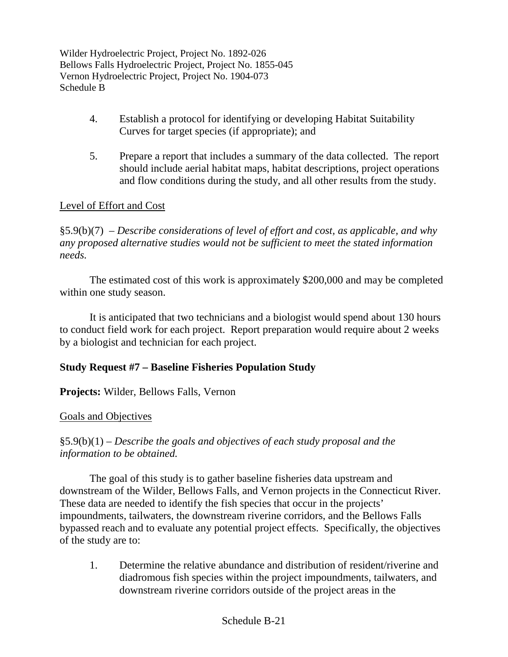- 4. Establish a protocol for identifying or developing Habitat Suitability Curves for target species (if appropriate); and
- 5. Prepare a report that includes a summary of the data collected. The report should include aerial habitat maps, habitat descriptions, project operations and flow conditions during the study, and all other results from the study.

# Level of Effort and Cost

§5.9(b)(7) *– Describe considerations of level of effort and cost, as applicable, and why any proposed alternative studies would not be sufficient to meet the stated information needs.*

The estimated cost of this work is approximately \$200,000 and may be completed within one study season.

It is anticipated that two technicians and a biologist would spend about 130 hours to conduct field work for each project. Report preparation would require about 2 weeks by a biologist and technician for each project.

### **Study Request #7 – Baseline Fisheries Population Study**

**Projects:** Wilder, Bellows Falls, Vernon

### Goals and Objectives

§5.9(b)(1) – *Describe the goals and objectives of each study proposal and the information to be obtained.*

The goal of this study is to gather baseline fisheries data upstream and downstream of the Wilder, Bellows Falls, and Vernon projects in the Connecticut River. These data are needed to identify the fish species that occur in the projects' impoundments, tailwaters, the downstream riverine corridors, and the Bellows Falls bypassed reach and to evaluate any potential project effects. Specifically, the objectives of the study are to:

1. Determine the relative abundance and distribution of resident/riverine and diadromous fish species within the project impoundments, tailwaters, and downstream riverine corridors outside of the project areas in the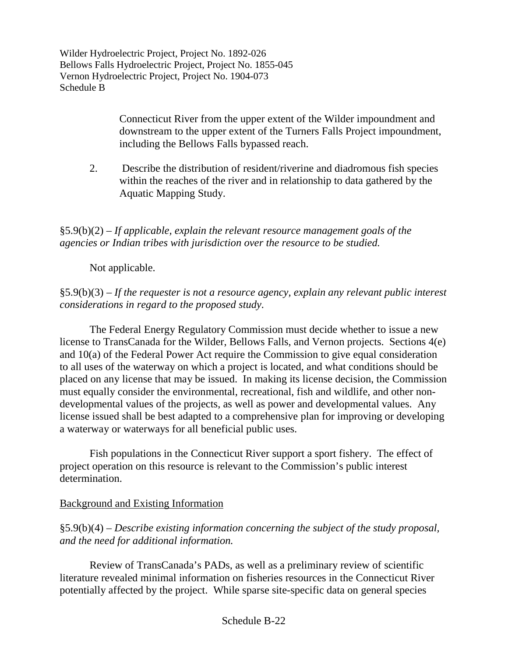> Connecticut River from the upper extent of the Wilder impoundment and downstream to the upper extent of the Turners Falls Project impoundment, including the Bellows Falls bypassed reach.

2. Describe the distribution of resident/riverine and diadromous fish species within the reaches of the river and in relationship to data gathered by the Aquatic Mapping Study.

§5.9(b)(2) – *If applicable, explain the relevant resource management goals of the agencies or Indian tribes with jurisdiction over the resource to be studied.*

Not applicable.

§5.9(b)(3) – *If the requester is not a resource agency, explain any relevant public interest considerations in regard to the proposed study.*

The Federal Energy Regulatory Commission must decide whether to issue a new license to TransCanada for the Wilder, Bellows Falls, and Vernon projects. Sections 4(e) and 10(a) of the Federal Power Act require the Commission to give equal consideration to all uses of the waterway on which a project is located, and what conditions should be placed on any license that may be issued. In making its license decision, the Commission must equally consider the environmental, recreational, fish and wildlife, and other nondevelopmental values of the projects, as well as power and developmental values. Any license issued shall be best adapted to a comprehensive plan for improving or developing a waterway or waterways for all beneficial public uses.

Fish populations in the Connecticut River support a sport fishery. The effect of project operation on this resource is relevant to the Commission's public interest determination.

### Background and Existing Information

§5.9(b)(4) – *Describe existing information concerning the subject of the study proposal, and the need for additional information.*

Review of TransCanada's PADs, as well as a preliminary review of scientific literature revealed minimal information on fisheries resources in the Connecticut River potentially affected by the project. While sparse site-specific data on general species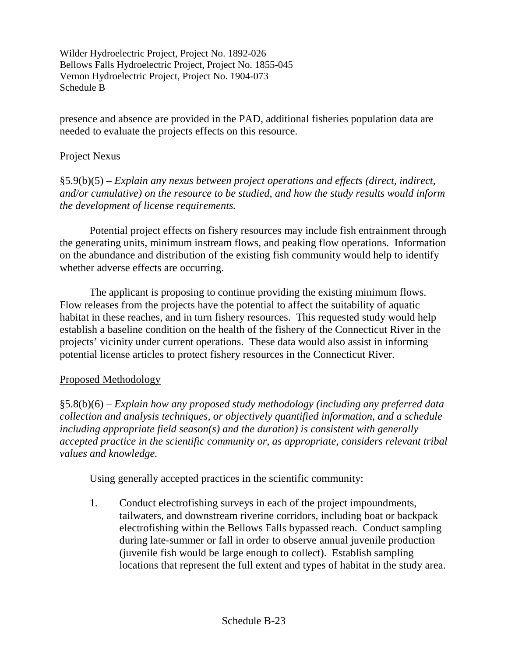presence and absence are provided in the PAD, additional fisheries population data are needed to evaluate the projects effects on this resource.

#### Project Nexus

§5.9(b)(5) – *Explain any nexus between project operations and effects (direct, indirect, and/or cumulative) on the resource to be studied, and how the study results would inform the development of license requirements.*

Potential project effects on fishery resources may include fish entrainment through the generating units, minimum instream flows, and peaking flow operations. Information on the abundance and distribution of the existing fish community would help to identify whether adverse effects are occurring.

The applicant is proposing to continue providing the existing minimum flows. Flow releases from the projects have the potential to affect the suitability of aquatic habitat in these reaches, and in turn fishery resources. This requested study would help establish a baseline condition on the health of the fishery of the Connecticut River in the projects' vicinity under current operations. These data would also assist in informing potential license articles to protect fishery resources in the Connecticut River.

### Proposed Methodology

§5.8(b)(6) – *Explain how any proposed study methodology (including any preferred data collection and analysis techniques, or objectively quantified information, and a schedule including appropriate field season(s) and the duration) is consistent with generally accepted practice in the scientific community or, as appropriate, considers relevant tribal values and knowledge.*

Using generally accepted practices in the scientific community:

1. Conduct electrofishing surveys in each of the project impoundments, tailwaters, and downstream riverine corridors, including boat or backpack electrofishing within the Bellows Falls bypassed reach. Conduct sampling during late-summer or fall in order to observe annual juvenile production (juvenile fish would be large enough to collect). Establish sampling locations that represent the full extent and types of habitat in the study area.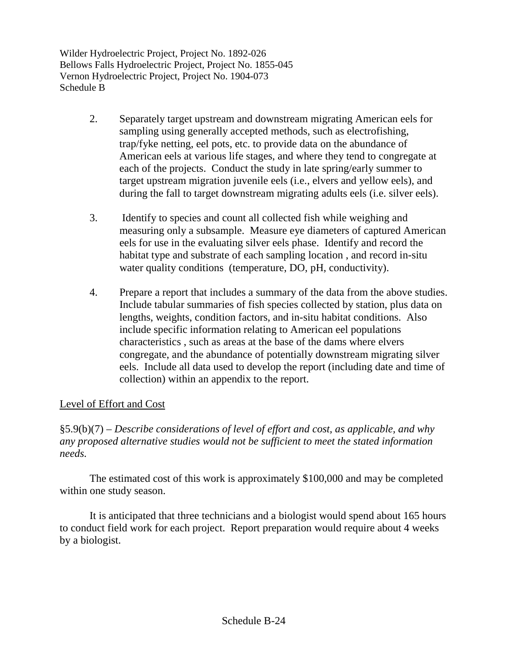- 2. Separately target upstream and downstream migrating American eels for sampling using generally accepted methods, such as electrofishing, trap/fyke netting, eel pots, etc. to provide data on the abundance of American eels at various life stages, and where they tend to congregate at each of the projects. Conduct the study in late spring/early summer to target upstream migration juvenile eels (i.e., elvers and yellow eels), and during the fall to target downstream migrating adults eels (i.e. silver eels).
- 3. Identify to species and count all collected fish while weighing and measuring only a subsample. Measure eye diameters of captured American eels for use in the evaluating silver eels phase. Identify and record the habitat type and substrate of each sampling location , and record in-situ water quality conditions (temperature, DO, pH, conductivity).
- 4. Prepare a report that includes a summary of the data from the above studies. Include tabular summaries of fish species collected by station, plus data on lengths, weights, condition factors, and in-situ habitat conditions. Also include specific information relating to American eel populations characteristics , such as areas at the base of the dams where elvers congregate, and the abundance of potentially downstream migrating silver eels. Include all data used to develop the report (including date and time of collection) within an appendix to the report.

### Level of Effort and Cost

§5.9(b)(7) – *Describe considerations of level of effort and cost, as applicable, and why any proposed alternative studies would not be sufficient to meet the stated information needs.*

The estimated cost of this work is approximately \$100,000 and may be completed within one study season.

It is anticipated that three technicians and a biologist would spend about 165 hours to conduct field work for each project. Report preparation would require about 4 weeks by a biologist.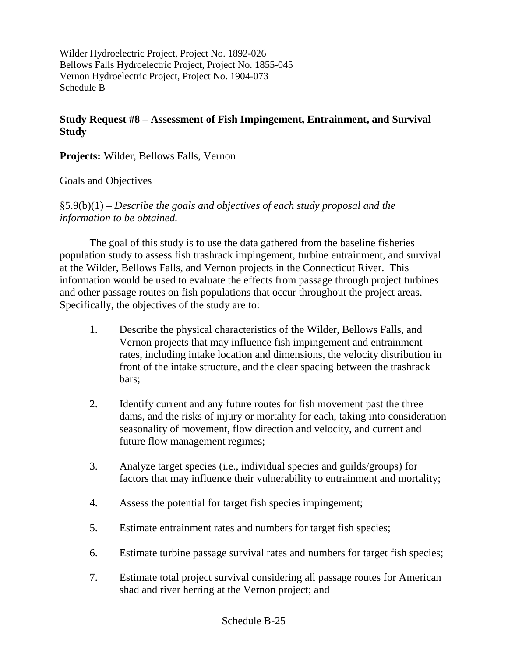### **Study Request #8 – Assessment of Fish Impingement, Entrainment, and Survival Study**

**Projects:** Wilder, Bellows Falls, Vernon

#### Goals and Objectives

§5.9(b)(1) – *Describe the goals and objectives of each study proposal and the information to be obtained.*

The goal of this study is to use the data gathered from the baseline fisheries population study to assess fish trashrack impingement, turbine entrainment, and survival at the Wilder, Bellows Falls, and Vernon projects in the Connecticut River. This information would be used to evaluate the effects from passage through project turbines and other passage routes on fish populations that occur throughout the project areas. Specifically, the objectives of the study are to:

- 1. Describe the physical characteristics of the Wilder, Bellows Falls, and Vernon projects that may influence fish impingement and entrainment rates, including intake location and dimensions, the velocity distribution in front of the intake structure, and the clear spacing between the trashrack bars;
- 2. Identify current and any future routes for fish movement past the three dams, and the risks of injury or mortality for each, taking into consideration seasonality of movement, flow direction and velocity, and current and future flow management regimes;
- 3. Analyze target species (i.e., individual species and guilds/groups) for factors that may influence their vulnerability to entrainment and mortality;
- 4. Assess the potential for target fish species impingement;
- 5. Estimate entrainment rates and numbers for target fish species;
- 6. Estimate turbine passage survival rates and numbers for target fish species;
- 7. Estimate total project survival considering all passage routes for American shad and river herring at the Vernon project; and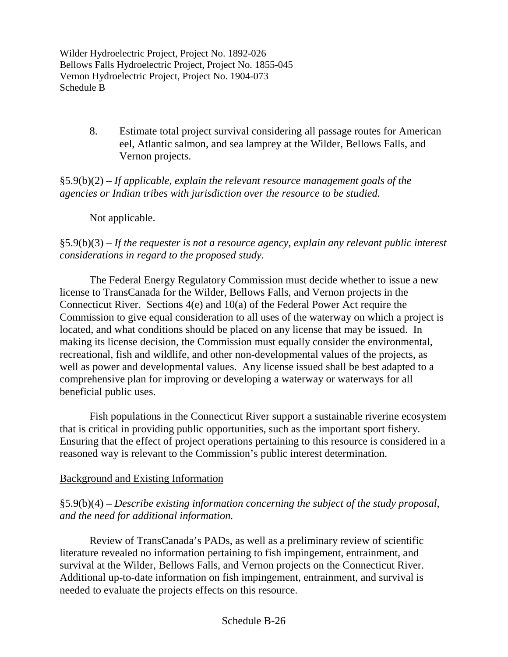> 8. Estimate total project survival considering all passage routes for American eel, Atlantic salmon, and sea lamprey at the Wilder, Bellows Falls, and Vernon projects.

§5.9(b)(2) – *If applicable, explain the relevant resource management goals of the agencies or Indian tribes with jurisdiction over the resource to be studied.*

Not applicable.

# §5.9(b)(3) – *If the requester is not a resource agency, explain any relevant public interest considerations in regard to the proposed study.*

The Federal Energy Regulatory Commission must decide whether to issue a new license to TransCanada for the Wilder, Bellows Falls, and Vernon projects in the Connecticut River. Sections 4(e) and 10(a) of the Federal Power Act require the Commission to give equal consideration to all uses of the waterway on which a project is located, and what conditions should be placed on any license that may be issued. In making its license decision, the Commission must equally consider the environmental, recreational, fish and wildlife, and other non-developmental values of the projects, as well as power and developmental values. Any license issued shall be best adapted to a comprehensive plan for improving or developing a waterway or waterways for all beneficial public uses.

Fish populations in the Connecticut River support a sustainable riverine ecosystem that is critical in providing public opportunities, such as the important sport fishery. Ensuring that the effect of project operations pertaining to this resource is considered in a reasoned way is relevant to the Commission's public interest determination.

### Background and Existing Information

§5.9(b)(4) – *Describe existing information concerning the subject of the study proposal, and the need for additional information.*

Review of TransCanada's PADs, as well as a preliminary review of scientific literature revealed no information pertaining to fish impingement, entrainment, and survival at the Wilder, Bellows Falls, and Vernon projects on the Connecticut River. Additional up-to-date information on fish impingement, entrainment, and survival is needed to evaluate the projects effects on this resource.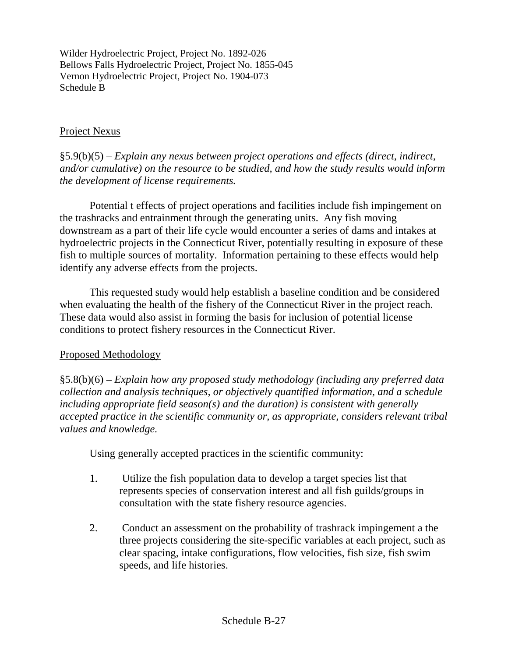### Project Nexus

§5.9(b)(5) – *Explain any nexus between project operations and effects (direct, indirect, and/or cumulative) on the resource to be studied, and how the study results would inform the development of license requirements.*

Potential t effects of project operations and facilities include fish impingement on the trashracks and entrainment through the generating units. Any fish moving downstream as a part of their life cycle would encounter a series of dams and intakes at hydroelectric projects in the Connecticut River, potentially resulting in exposure of these fish to multiple sources of mortality. Information pertaining to these effects would help identify any adverse effects from the projects.

This requested study would help establish a baseline condition and be considered when evaluating the health of the fishery of the Connecticut River in the project reach. These data would also assist in forming the basis for inclusion of potential license conditions to protect fishery resources in the Connecticut River.

### Proposed Methodology

§5.8(b)(6) – *Explain how any proposed study methodology (including any preferred data collection and analysis techniques, or objectively quantified information, and a schedule including appropriate field season(s) and the duration) is consistent with generally accepted practice in the scientific community or, as appropriate, considers relevant tribal values and knowledge.*

Using generally accepted practices in the scientific community:

- 1. Utilize the fish population data to develop a target species list that represents species of conservation interest and all fish guilds/groups in consultation with the state fishery resource agencies.
- 2. Conduct an assessment on the probability of trashrack impingement a the three projects considering the site-specific variables at each project, such as clear spacing, intake configurations, flow velocities, fish size, fish swim speeds, and life histories.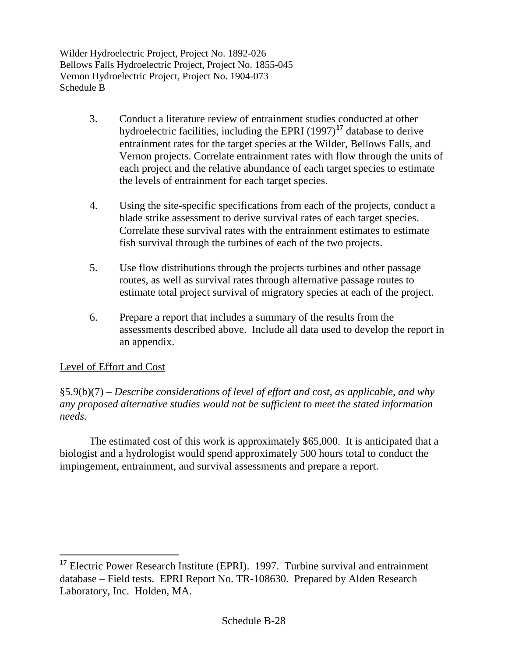- 3. Conduct a literature review of entrainment studies conducted at other hydroelectric facilities, including the EPRI (1997)**[17](#page-38-0)** database to derive entrainment rates for the target species at the Wilder, Bellows Falls, and Vernon projects. Correlate entrainment rates with flow through the units of each project and the relative abundance of each target species to estimate the levels of entrainment for each target species.
- 4. Using the site-specific specifications from each of the projects, conduct a blade strike assessment to derive survival rates of each target species. Correlate these survival rates with the entrainment estimates to estimate fish survival through the turbines of each of the two projects.
- 5. Use flow distributions through the projects turbines and other passage routes, as well as survival rates through alternative passage routes to estimate total project survival of migratory species at each of the project.
- 6. Prepare a report that includes a summary of the results from the assessments described above. Include all data used to develop the report in an appendix.

# Level of Effort and Cost

§5.9(b)(7) – *Describe considerations of level of effort and cost, as applicable, and why any proposed alternative studies would not be sufficient to meet the stated information needs.*

The estimated cost of this work is approximately \$65,000. It is anticipated that a biologist and a hydrologist would spend approximately 500 hours total to conduct the impingement, entrainment, and survival assessments and prepare a report.

<span id="page-38-0"></span>**<sup>17</sup>** Electric Power Research Institute (EPRI). 1997. Turbine survival and entrainment database – Field tests. EPRI Report No. TR-108630. Prepared by Alden Research Laboratory, Inc. Holden, MA.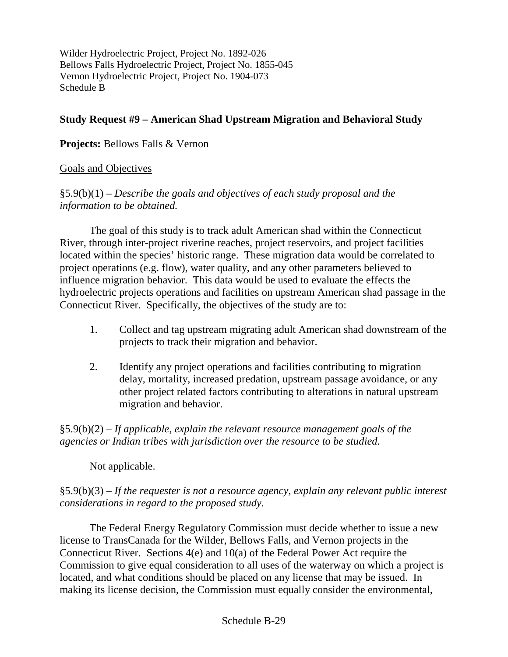### **Study Request #9 – American Shad Upstream Migration and Behavioral Study**

### **Projects:** Bellows Falls & Vernon

### Goals and Objectives

§5.9(b)(1) – *Describe the goals and objectives of each study proposal and the information to be obtained.*

The goal of this study is to track adult American shad within the Connecticut River, through inter-project riverine reaches, project reservoirs, and project facilities located within the species' historic range. These migration data would be correlated to project operations (e.g. flow), water quality, and any other parameters believed to influence migration behavior. This data would be used to evaluate the effects the hydroelectric projects operations and facilities on upstream American shad passage in the Connecticut River. Specifically, the objectives of the study are to:

- 1. Collect and tag upstream migrating adult American shad downstream of the projects to track their migration and behavior.
- 2. Identify any project operations and facilities contributing to migration delay, mortality, increased predation, upstream passage avoidance, or any other project related factors contributing to alterations in natural upstream migration and behavior.

§5.9(b)(2) – *If applicable, explain the relevant resource management goals of the agencies or Indian tribes with jurisdiction over the resource to be studied.*

### Not applicable.

### §5.9(b)(3) – *If the requester is not a resource agency, explain any relevant public interest considerations in regard to the proposed study.*

The Federal Energy Regulatory Commission must decide whether to issue a new license to TransCanada for the Wilder, Bellows Falls, and Vernon projects in the Connecticut River. Sections 4(e) and 10(a) of the Federal Power Act require the Commission to give equal consideration to all uses of the waterway on which a project is located, and what conditions should be placed on any license that may be issued. In making its license decision, the Commission must equally consider the environmental,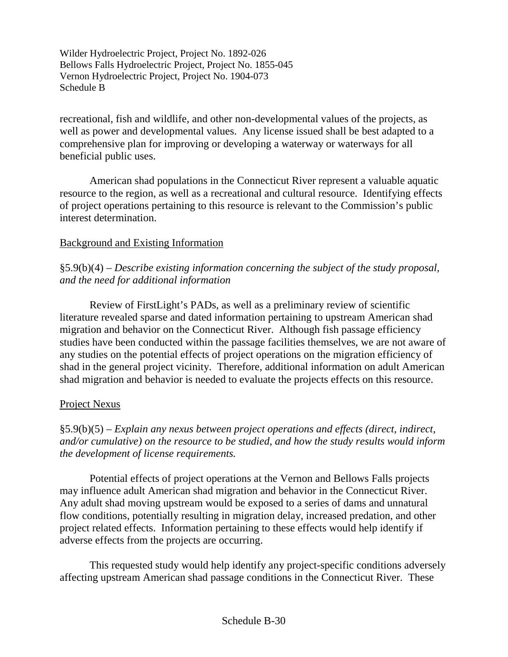recreational, fish and wildlife, and other non-developmental values of the projects, as well as power and developmental values. Any license issued shall be best adapted to a comprehensive plan for improving or developing a waterway or waterways for all beneficial public uses.

American shad populations in the Connecticut River represent a valuable aquatic resource to the region, as well as a recreational and cultural resource. Identifying effects of project operations pertaining to this resource is relevant to the Commission's public interest determination.

# Background and Existing Information

§5.9(b)(4) – *Describe existing information concerning the subject of the study proposal, and the need for additional information*

Review of FirstLight's PADs, as well as a preliminary review of scientific literature revealed sparse and dated information pertaining to upstream American shad migration and behavior on the Connecticut River. Although fish passage efficiency studies have been conducted within the passage facilities themselves, we are not aware of any studies on the potential effects of project operations on the migration efficiency of shad in the general project vicinity. Therefore, additional information on adult American shad migration and behavior is needed to evaluate the projects effects on this resource.

### Project Nexus

§5.9(b)(5) – *Explain any nexus between project operations and effects (direct, indirect, and/or cumulative) on the resource to be studied, and how the study results would inform the development of license requirements.*

Potential effects of project operations at the Vernon and Bellows Falls projects may influence adult American shad migration and behavior in the Connecticut River. Any adult shad moving upstream would be exposed to a series of dams and unnatural flow conditions, potentially resulting in migration delay, increased predation, and other project related effects. Information pertaining to these effects would help identify if adverse effects from the projects are occurring.

This requested study would help identify any project-specific conditions adversely affecting upstream American shad passage conditions in the Connecticut River. These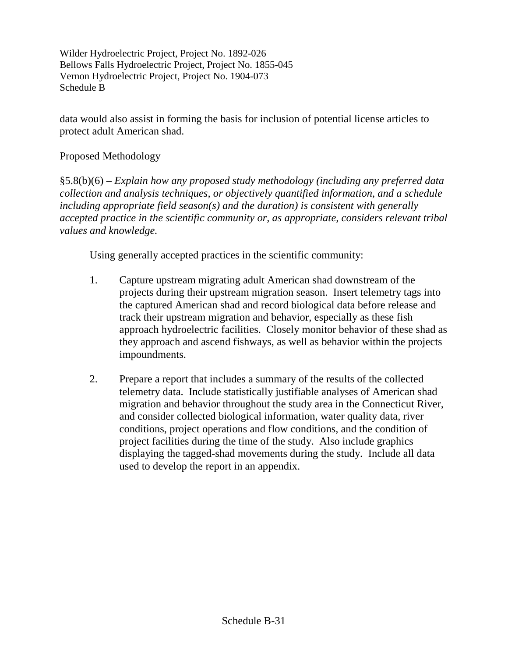data would also assist in forming the basis for inclusion of potential license articles to protect adult American shad.

#### Proposed Methodology

§5.8(b)(6) – *Explain how any proposed study methodology (including any preferred data collection and analysis techniques, or objectively quantified information, and a schedule including appropriate field season(s) and the duration) is consistent with generally accepted practice in the scientific community or, as appropriate, considers relevant tribal values and knowledge.*

Using generally accepted practices in the scientific community:

- 1. Capture upstream migrating adult American shad downstream of the projects during their upstream migration season. Insert telemetry tags into the captured American shad and record biological data before release and track their upstream migration and behavior, especially as these fish approach hydroelectric facilities. Closely monitor behavior of these shad as they approach and ascend fishways, as well as behavior within the projects impoundments.
- 2. Prepare a report that includes a summary of the results of the collected telemetry data. Include statistically justifiable analyses of American shad migration and behavior throughout the study area in the Connecticut River, and consider collected biological information, water quality data, river conditions, project operations and flow conditions, and the condition of project facilities during the time of the study. Also include graphics displaying the tagged-shad movements during the study. Include all data used to develop the report in an appendix.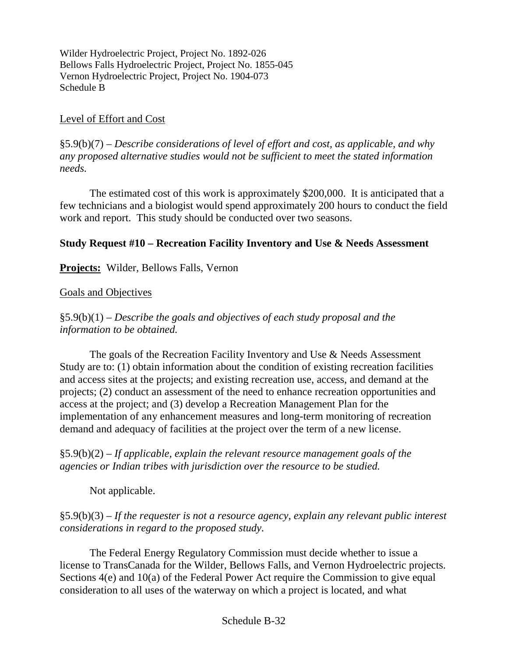### Level of Effort and Cost

§5.9(b)(7) – *Describe considerations of level of effort and cost, as applicable, and why any proposed alternative studies would not be sufficient to meet the stated information needs.*

The estimated cost of this work is approximately \$200,000. It is anticipated that a few technicians and a biologist would spend approximately 200 hours to conduct the field work and report. This study should be conducted over two seasons.

# **Study Request #10 – Recreation Facility Inventory and Use & Needs Assessment**

# **Projects:** Wilder, Bellows Falls, Vernon

### Goals and Objectives

§5.9(b)(1) – *Describe the goals and objectives of each study proposal and the information to be obtained.*

The goals of the Recreation Facility Inventory and Use & Needs Assessment Study are to: (1) obtain information about the condition of existing recreation facilities and access sites at the projects; and existing recreation use, access, and demand at the projects; (2) conduct an assessment of the need to enhance recreation opportunities and access at the project; and (3) develop a Recreation Management Plan for the implementation of any enhancement measures and long-term monitoring of recreation demand and adequacy of facilities at the project over the term of a new license.

§5.9(b)(2) – *If applicable, explain the relevant resource management goals of the agencies or Indian tribes with jurisdiction over the resource to be studied.*

Not applicable.

§5.9(b)(3) – *If the requester is not a resource agency, explain any relevant public interest considerations in regard to the proposed study.*

The Federal Energy Regulatory Commission must decide whether to issue a license to TransCanada for the Wilder, Bellows Falls, and Vernon Hydroelectric projects. Sections 4(e) and 10(a) of the Federal Power Act require the Commission to give equal consideration to all uses of the waterway on which a project is located, and what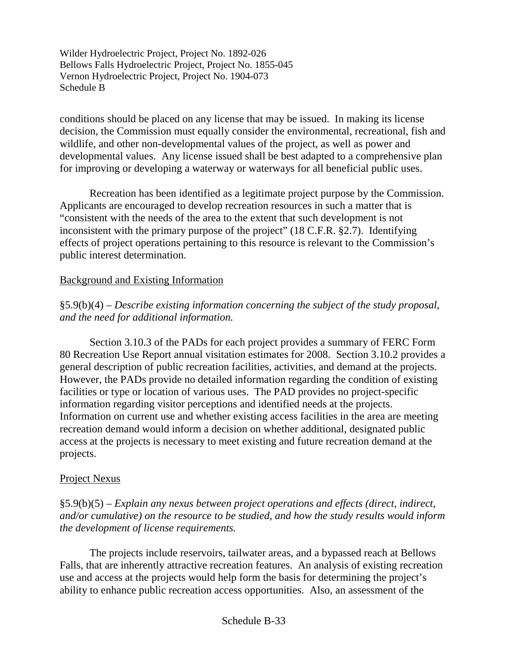conditions should be placed on any license that may be issued. In making its license decision, the Commission must equally consider the environmental, recreational, fish and wildlife, and other non-developmental values of the project, as well as power and developmental values. Any license issued shall be best adapted to a comprehensive plan for improving or developing a waterway or waterways for all beneficial public uses.

Recreation has been identified as a legitimate project purpose by the Commission. Applicants are encouraged to develop recreation resources in such a matter that is "consistent with the needs of the area to the extent that such development is not inconsistent with the primary purpose of the project" (18 C.F.R. §2.7). Identifying effects of project operations pertaining to this resource is relevant to the Commission's public interest determination.

### Background and Existing Information

§5.9(b)(4) – *Describe existing information concerning the subject of the study proposal, and the need for additional information.*

Section 3.10.3 of the PADs for each project provides a summary of FERC Form 80 Recreation Use Report annual visitation estimates for 2008. Section 3.10.2 provides a general description of public recreation facilities, activities, and demand at the projects. However, the PADs provide no detailed information regarding the condition of existing facilities or type or location of various uses. The PAD provides no project-specific information regarding visitor perceptions and identified needs at the projects. Information on current use and whether existing access facilities in the area are meeting recreation demand would inform a decision on whether additional, designated public access at the projects is necessary to meet existing and future recreation demand at the projects.

### Project Nexus

§5.9(b)(5) – *Explain any nexus between project operations and effects (direct, indirect, and/or cumulative) on the resource to be studied, and how the study results would inform the development of license requirements.*

The projects include reservoirs, tailwater areas, and a bypassed reach at Bellows Falls, that are inherently attractive recreation features. An analysis of existing recreation use and access at the projects would help form the basis for determining the project's ability to enhance public recreation access opportunities. Also, an assessment of the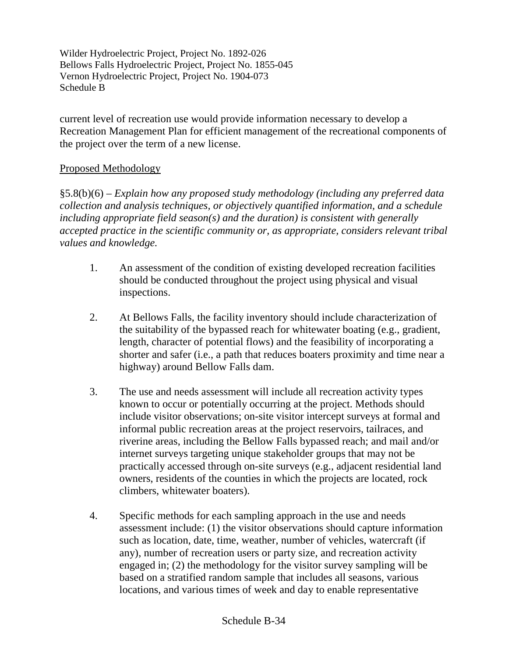current level of recreation use would provide information necessary to develop a Recreation Management Plan for efficient management of the recreational components of the project over the term of a new license.

# Proposed Methodology

§5.8(b)(6) – *Explain how any proposed study methodology (including any preferred data collection and analysis techniques, or objectively quantified information, and a schedule including appropriate field season(s) and the duration) is consistent with generally accepted practice in the scientific community or, as appropriate, considers relevant tribal values and knowledge.*

- 1. An assessment of the condition of existing developed recreation facilities should be conducted throughout the project using physical and visual inspections.
- 2. At Bellows Falls, the facility inventory should include characterization of the suitability of the bypassed reach for whitewater boating (e.g., gradient, length, character of potential flows) and the feasibility of incorporating a shorter and safer (i.e., a path that reduces boaters proximity and time near a highway) around Bellow Falls dam.
- 3. The use and needs assessment will include all recreation activity types known to occur or potentially occurring at the project. Methods should include visitor observations; on-site visitor intercept surveys at formal and informal public recreation areas at the project reservoirs, tailraces, and riverine areas, including the Bellow Falls bypassed reach; and mail and/or internet surveys targeting unique stakeholder groups that may not be practically accessed through on-site surveys (e.g., adjacent residential land owners, residents of the counties in which the projects are located, rock climbers, whitewater boaters).
- 4. Specific methods for each sampling approach in the use and needs assessment include: (1) the visitor observations should capture information such as location, date, time, weather, number of vehicles, watercraft (if any), number of recreation users or party size, and recreation activity engaged in; (2) the methodology for the visitor survey sampling will be based on a stratified random sample that includes all seasons, various locations, and various times of week and day to enable representative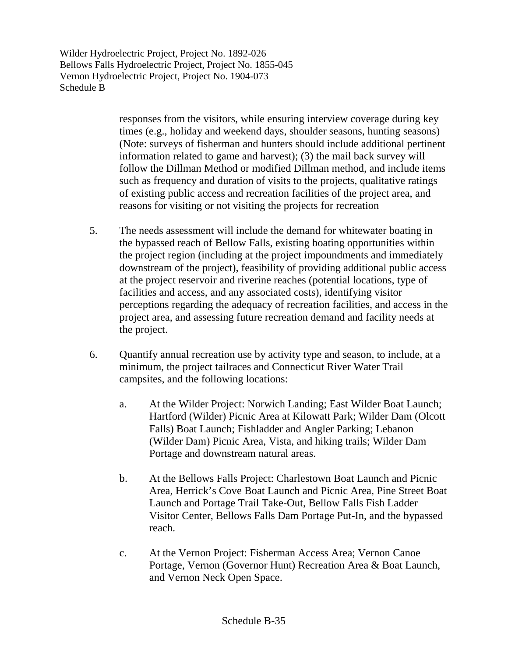> responses from the visitors, while ensuring interview coverage during key times (e.g., holiday and weekend days, shoulder seasons, hunting seasons) (Note: surveys of fisherman and hunters should include additional pertinent information related to game and harvest); (3) the mail back survey will follow the Dillman Method or modified Dillman method, and include items such as frequency and duration of visits to the projects, qualitative ratings of existing public access and recreation facilities of the project area, and reasons for visiting or not visiting the projects for recreation

- 5. The needs assessment will include the demand for whitewater boating in the bypassed reach of Bellow Falls, existing boating opportunities within the project region (including at the project impoundments and immediately downstream of the project), feasibility of providing additional public access at the project reservoir and riverine reaches (potential locations, type of facilities and access, and any associated costs), identifying visitor perceptions regarding the adequacy of recreation facilities, and access in the project area, and assessing future recreation demand and facility needs at the project.
- 6. Quantify annual recreation use by activity type and season, to include, at a minimum, the project tailraces and Connecticut River Water Trail campsites, and the following locations:
	- a. At the Wilder Project: Norwich Landing; East Wilder Boat Launch; Hartford (Wilder) Picnic Area at Kilowatt Park; Wilder Dam (Olcott Falls) Boat Launch; Fishladder and Angler Parking; Lebanon (Wilder Dam) Picnic Area, Vista, and hiking trails; Wilder Dam Portage and downstream natural areas.
	- b. At the Bellows Falls Project: Charlestown Boat Launch and Picnic Area, Herrick's Cove Boat Launch and Picnic Area, Pine Street Boat Launch and Portage Trail Take-Out, Bellow Falls Fish Ladder Visitor Center, Bellows Falls Dam Portage Put-In, and the bypassed reach.
	- c. At the Vernon Project: Fisherman Access Area; Vernon Canoe Portage, Vernon (Governor Hunt) Recreation Area & Boat Launch, and Vernon Neck Open Space.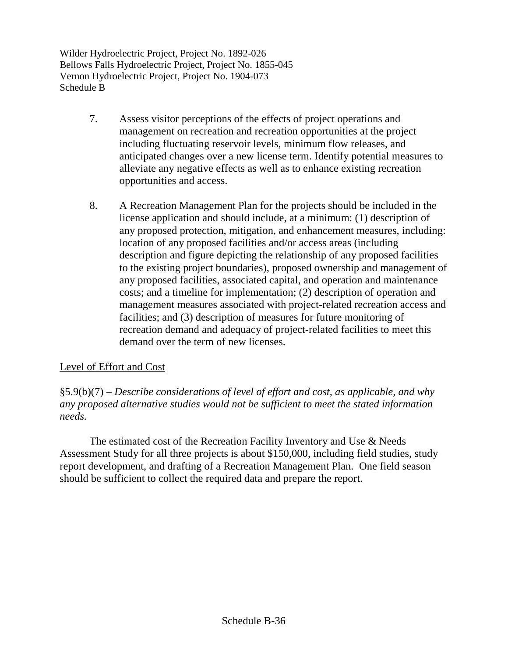- 7. Assess visitor perceptions of the effects of project operations and management on recreation and recreation opportunities at the project including fluctuating reservoir levels, minimum flow releases, and anticipated changes over a new license term. Identify potential measures to alleviate any negative effects as well as to enhance existing recreation opportunities and access.
- 8. A Recreation Management Plan for the projects should be included in the license application and should include, at a minimum: (1) description of any proposed protection, mitigation, and enhancement measures, including: location of any proposed facilities and/or access areas (including description and figure depicting the relationship of any proposed facilities to the existing project boundaries), proposed ownership and management of any proposed facilities, associated capital, and operation and maintenance costs; and a timeline for implementation; (2) description of operation and management measures associated with project-related recreation access and facilities; and (3) description of measures for future monitoring of recreation demand and adequacy of project-related facilities to meet this demand over the term of new licenses.

# Level of Effort and Cost

§5.9(b)(7) – *Describe considerations of level of effort and cost, as applicable, and why any proposed alternative studies would not be sufficient to meet the stated information needs.*

The estimated cost of the Recreation Facility Inventory and Use & Needs Assessment Study for all three projects is about \$150,000, including field studies, study report development, and drafting of a Recreation Management Plan. One field season should be sufficient to collect the required data and prepare the report.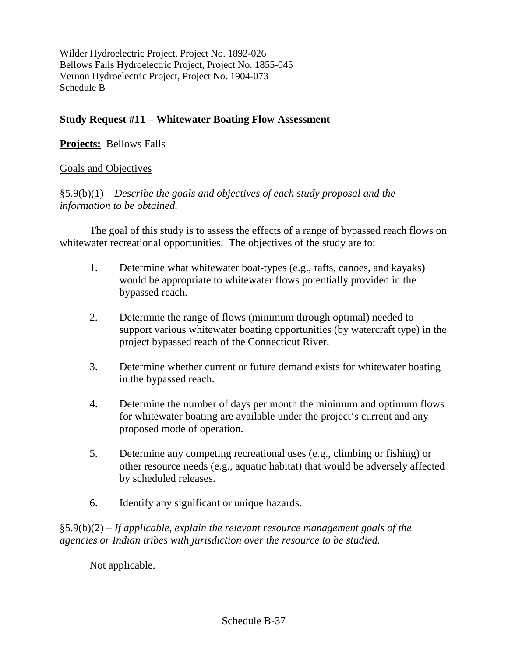### **Study Request #11 – Whitewater Boating Flow Assessment**

# **Projects:** Bellows Falls

### Goals and Objectives

§5.9(b)(1) – *Describe the goals and objectives of each study proposal and the information to be obtained.*

The goal of this study is to assess the effects of a range of bypassed reach flows on whitewater recreational opportunities. The objectives of the study are to:

- 1. Determine what whitewater boat-types (e.g., rafts, canoes, and kayaks) would be appropriate to whitewater flows potentially provided in the bypassed reach.
- 2. Determine the range of flows (minimum through optimal) needed to support various whitewater boating opportunities (by watercraft type) in the project bypassed reach of the Connecticut River.
- 3. Determine whether current or future demand exists for whitewater boating in the bypassed reach.
- 4. Determine the number of days per month the minimum and optimum flows for whitewater boating are available under the project's current and any proposed mode of operation.
- 5. Determine any competing recreational uses (e.g., climbing or fishing) or other resource needs (e.g., aquatic habitat) that would be adversely affected by scheduled releases.
- 6. Identify any significant or unique hazards.

§5.9(b)(2) – *If applicable, explain the relevant resource management goals of the agencies or Indian tribes with jurisdiction over the resource to be studied.*

Not applicable.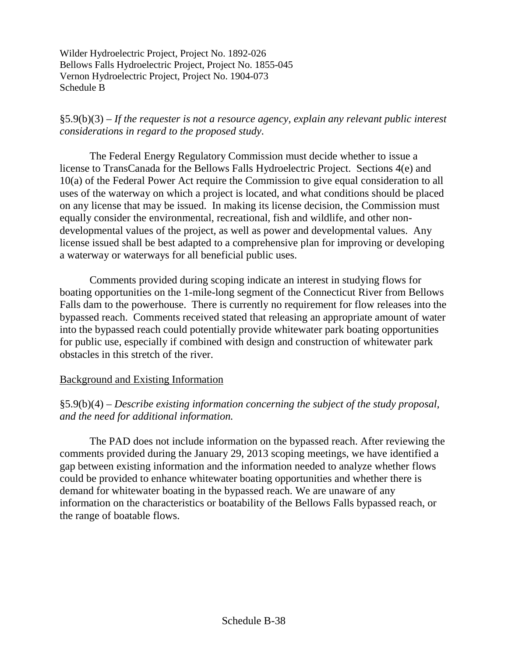§5.9(b)(3) – *If the requester is not a resource agency, explain any relevant public interest considerations in regard to the proposed study.*

The Federal Energy Regulatory Commission must decide whether to issue a license to TransCanada for the Bellows Falls Hydroelectric Project. Sections 4(e) and 10(a) of the Federal Power Act require the Commission to give equal consideration to all uses of the waterway on which a project is located, and what conditions should be placed on any license that may be issued. In making its license decision, the Commission must equally consider the environmental, recreational, fish and wildlife, and other nondevelopmental values of the project, as well as power and developmental values. Any license issued shall be best adapted to a comprehensive plan for improving or developing a waterway or waterways for all beneficial public uses.

Comments provided during scoping indicate an interest in studying flows for boating opportunities on the 1-mile-long segment of the Connecticut River from Bellows Falls dam to the powerhouse. There is currently no requirement for flow releases into the bypassed reach. Comments received stated that releasing an appropriate amount of water into the bypassed reach could potentially provide whitewater park boating opportunities for public use, especially if combined with design and construction of whitewater park obstacles in this stretch of the river.

### Background and Existing Information

§5.9(b)(4) – *Describe existing information concerning the subject of the study proposal, and the need for additional information.*

The PAD does not include information on the bypassed reach. After reviewing the comments provided during the January 29, 2013 scoping meetings, we have identified a gap between existing information and the information needed to analyze whether flows could be provided to enhance whitewater boating opportunities and whether there is demand for whitewater boating in the bypassed reach. We are unaware of any information on the characteristics or boatability of the Bellows Falls bypassed reach, or the range of boatable flows.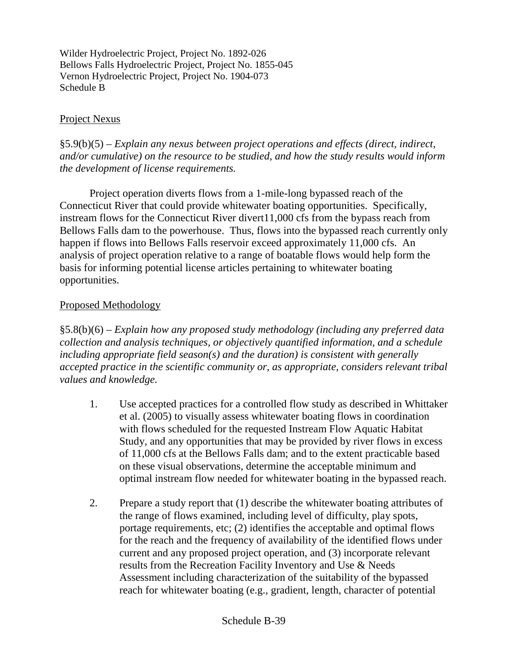#### Project Nexus

§5.9(b)(5) – *Explain any nexus between project operations and effects (direct, indirect, and/or cumulative) on the resource to be studied, and how the study results would inform the development of license requirements.*

Project operation diverts flows from a 1-mile-long bypassed reach of the Connecticut River that could provide whitewater boating opportunities. Specifically, instream flows for the Connecticut River divert11,000 cfs from the bypass reach from Bellows Falls dam to the powerhouse. Thus, flows into the bypassed reach currently only happen if flows into Bellows Falls reservoir exceed approximately 11,000 cfs. An analysis of project operation relative to a range of boatable flows would help form the basis for informing potential license articles pertaining to whitewater boating opportunities.

#### Proposed Methodology

§5.8(b)(6) – *Explain how any proposed study methodology (including any preferred data collection and analysis techniques, or objectively quantified information, and a schedule including appropriate field season(s) and the duration) is consistent with generally accepted practice in the scientific community or, as appropriate, considers relevant tribal values and knowledge.*

- 1. Use accepted practices for a controlled flow study as described in Whittaker et al. (2005) to visually assess whitewater boating flows in coordination with flows scheduled for the requested Instream Flow Aquatic Habitat Study, and any opportunities that may be provided by river flows in excess of 11,000 cfs at the Bellows Falls dam; and to the extent practicable based on these visual observations, determine the acceptable minimum and optimal instream flow needed for whitewater boating in the bypassed reach.
- 2. Prepare a study report that (1) describe the whitewater boating attributes of the range of flows examined, including level of difficulty, play spots, portage requirements, etc; (2) identifies the acceptable and optimal flows for the reach and the frequency of availability of the identified flows under current and any proposed project operation, and (3) incorporate relevant results from the Recreation Facility Inventory and Use & Needs Assessment including characterization of the suitability of the bypassed reach for whitewater boating (e.g., gradient, length, character of potential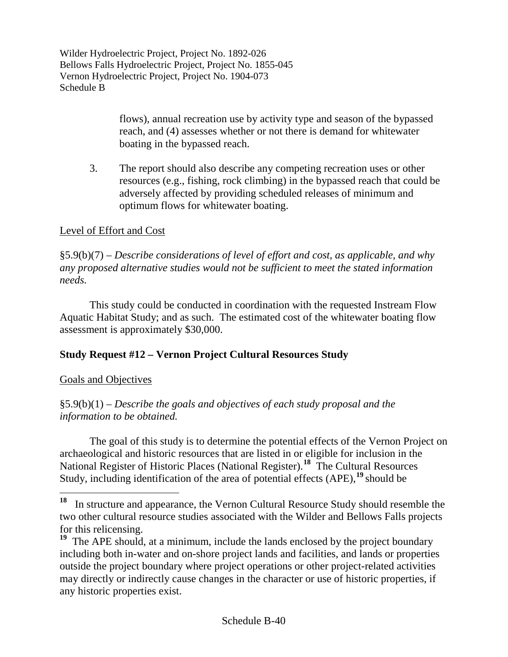> flows), annual recreation use by activity type and season of the bypassed reach, and (4) assesses whether or not there is demand for whitewater boating in the bypassed reach.

3. The report should also describe any competing recreation uses or other resources (e.g., fishing, rock climbing) in the bypassed reach that could be adversely affected by providing scheduled releases of minimum and optimum flows for whitewater boating.

# Level of Effort and Cost

§5.9(b)(7) – *Describe considerations of level of effort and cost, as applicable, and why any proposed alternative studies would not be sufficient to meet the stated information needs.*

This study could be conducted in coordination with the requested Instream Flow Aquatic Habitat Study; and as such. The estimated cost of the whitewater boating flow assessment is approximately \$30,000.

# **Study Request #12 – Vernon Project Cultural Resources Study**

### Goals and Objectives

§5.9(b)(1) *– Describe the goals and objectives of each study proposal and the information to be obtained.*

The goal of this study is to determine the potential effects of the Vernon Project on archaeological and historic resources that are listed in or eligible for inclusion in the National Register of Historic Places (National Register).**[18](#page-50-0)** The Cultural Resources Study, including identification of the area of potential effects (APE),**[19](#page-50-1)** should be

<span id="page-50-0"></span>**<sup>18</sup>** In structure and appearance, the Vernon Cultural Resource Study should resemble the two other cultural resource studies associated with the Wilder and Bellows Falls projects for this relicensing.

<span id="page-50-1"></span><sup>&</sup>lt;sup>19</sup> The APE should, at a minimum, include the lands enclosed by the project boundary including both in-water and on-shore project lands and facilities, and lands or properties outside the project boundary where project operations or other project-related activities may directly or indirectly cause changes in the character or use of historic properties, if any historic properties exist.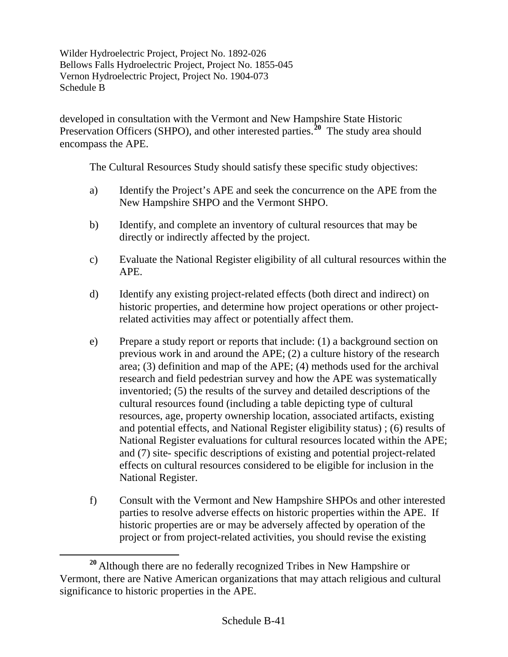developed in consultation with the Vermont and New Hampshire State Historic Preservation Officers (SHPO), and other interested parties.<sup>[20](#page-51-0)</sup> The study area should encompass the APE.

The Cultural Resources Study should satisfy these specific study objectives:

- a) Identify the Project's APE and seek the concurrence on the APE from the New Hampshire SHPO and the Vermont SHPO.
- b) Identify, and complete an inventory of cultural resources that may be directly or indirectly affected by the project.
- c) Evaluate the National Register eligibility of all cultural resources within the APE.
- d) Identify any existing project-related effects (both direct and indirect) on historic properties, and determine how project operations or other projectrelated activities may affect or potentially affect them.
- e) Prepare a study report or reports that include: (1) a background section on previous work in and around the APE; (2) a culture history of the research area; (3) definition and map of the APE; (4) methods used for the archival research and field pedestrian survey and how the APE was systematically inventoried; (5) the results of the survey and detailed descriptions of the cultural resources found (including a table depicting type of cultural resources, age, property ownership location, associated artifacts, existing and potential effects, and National Register eligibility status) ; (6) results of National Register evaluations for cultural resources located within the APE; and (7) site- specific descriptions of existing and potential project-related effects on cultural resources considered to be eligible for inclusion in the National Register.
- f) Consult with the Vermont and New Hampshire SHPOs and other interested parties to resolve adverse effects on historic properties within the APE. If historic properties are or may be adversely affected by operation of the project or from project-related activities, you should revise the existing

<span id="page-51-0"></span>**<sup>20</sup>** Although there are no federally recognized Tribes in New Hampshire or Vermont, there are Native American organizations that may attach religious and cultural significance to historic properties in the APE.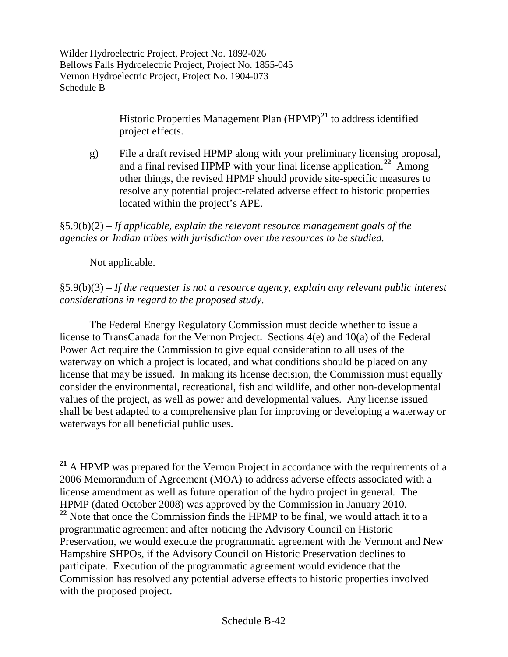> Historic Properties Management Plan (HPMP)**[21](#page-52-0)** to address identified project effects.

g) File a draft revised HPMP along with your preliminary licensing proposal, and a final revised HPMP with your final license application.**[22](#page-52-1)** Among other things, the revised HPMP should provide site-specific measures to resolve any potential project-related adverse effect to historic properties located within the project's APE.

§5.9(b)(2) *– If applicable, explain the relevant resource management goals of the agencies or Indian tribes with jurisdiction over the resources to be studied.*

Not applicable.

§5.9(b)(3) *– If the requester is not a resource agency, explain any relevant public interest considerations in regard to the proposed study.*

The Federal Energy Regulatory Commission must decide whether to issue a license to TransCanada for the Vernon Project. Sections 4(e) and 10(a) of the Federal Power Act require the Commission to give equal consideration to all uses of the waterway on which a project is located, and what conditions should be placed on any license that may be issued. In making its license decision, the Commission must equally consider the environmental, recreational, fish and wildlife, and other non-developmental values of the project, as well as power and developmental values. Any license issued shall be best adapted to a comprehensive plan for improving or developing a waterway or waterways for all beneficial public uses.

<span id="page-52-1"></span><span id="page-52-0"></span>**<sup>21</sup>** A HPMP was prepared for the Vernon Project in accordance with the requirements of a 2006 Memorandum of Agreement (MOA) to address adverse effects associated with a license amendment as well as future operation of the hydro project in general. The HPMP (dated October 2008) was approved by the Commission in January 2010. <sup>22</sup> Note that once the Commission finds the HPMP to be final, we would attach it to a programmatic agreement and after noticing the Advisory Council on Historic Preservation, we would execute the programmatic agreement with the Vermont and New Hampshire SHPOs, if the Advisory Council on Historic Preservation declines to participate. Execution of the programmatic agreement would evidence that the Commission has resolved any potential adverse effects to historic properties involved with the proposed project.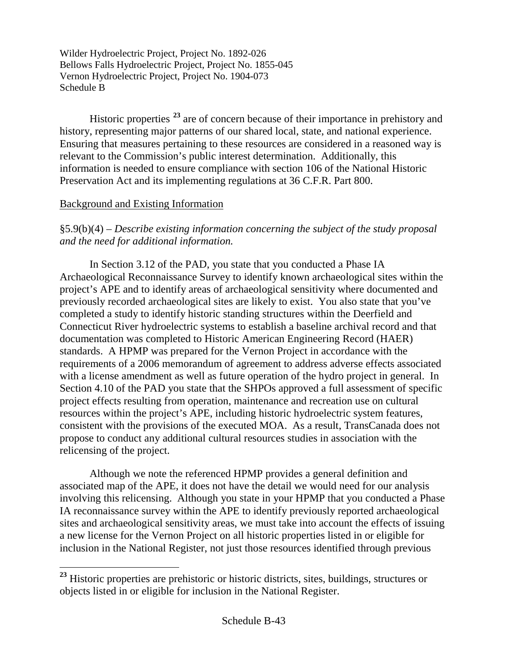Historic properties **[23](#page-53-0)** are of concern because of their importance in prehistory and history, representing major patterns of our shared local, state, and national experience. Ensuring that measures pertaining to these resources are considered in a reasoned way is relevant to the Commission's public interest determination. Additionally, this information is needed to ensure compliance with section 106 of the National Historic Preservation Act and its implementing regulations at 36 C.F.R. Part 800.

# Background and Existing Information

§5.9(b)(4) *– Describe existing information concerning the subject of the study proposal and the need for additional information.*

In Section 3.12 of the PAD, you state that you conducted a Phase IA Archaeological Reconnaissance Survey to identify known archaeological sites within the project's APE and to identify areas of archaeological sensitivity where documented and previously recorded archaeological sites are likely to exist. You also state that you've completed a study to identify historic standing structures within the Deerfield and Connecticut River hydroelectric systems to establish a baseline archival record and that documentation was completed to Historic American Engineering Record (HAER) standards. A HPMP was prepared for the Vernon Project in accordance with the requirements of a 2006 memorandum of agreement to address adverse effects associated with a license amendment as well as future operation of the hydro project in general. In Section 4.10 of the PAD you state that the SHPOs approved a full assessment of specific project effects resulting from operation, maintenance and recreation use on cultural resources within the project's APE, including historic hydroelectric system features, consistent with the provisions of the executed MOA. As a result, TransCanada does not propose to conduct any additional cultural resources studies in association with the relicensing of the project.

Although we note the referenced HPMP provides a general definition and associated map of the APE, it does not have the detail we would need for our analysis involving this relicensing. Although you state in your HPMP that you conducted a Phase IA reconnaissance survey within the APE to identify previously reported archaeological sites and archaeological sensitivity areas, we must take into account the effects of issuing a new license for the Vernon Project on all historic properties listed in or eligible for inclusion in the National Register, not just those resources identified through previous

<span id="page-53-0"></span><sup>&</sup>lt;sup>23</sup> Historic properties are prehistoric or historic districts, sites, buildings, structures or objects listed in or eligible for inclusion in the National Register.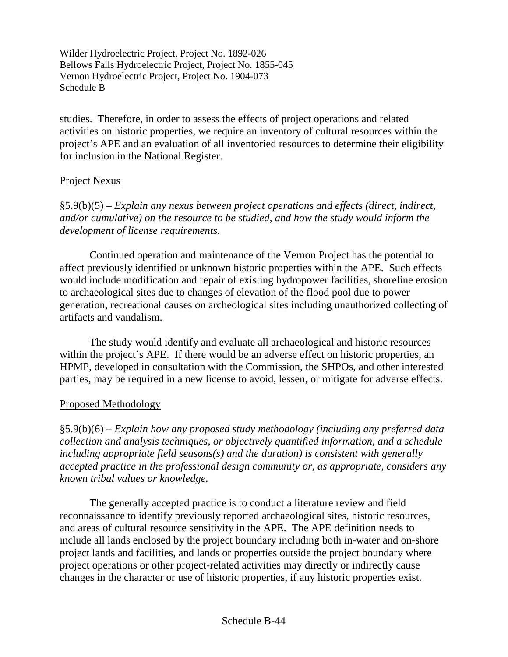studies. Therefore, in order to assess the effects of project operations and related activities on historic properties, we require an inventory of cultural resources within the project's APE and an evaluation of all inventoried resources to determine their eligibility for inclusion in the National Register.

#### Project Nexus

§5.9(b)(5) *– Explain any nexus between project operations and effects (direct, indirect, and/or cumulative) on the resource to be studied, and how the study would inform the development of license requirements.*

Continued operation and maintenance of the Vernon Project has the potential to affect previously identified or unknown historic properties within the APE. Such effects would include modification and repair of existing hydropower facilities, shoreline erosion to archaeological sites due to changes of elevation of the flood pool due to power generation, recreational causes on archeological sites including unauthorized collecting of artifacts and vandalism.

The study would identify and evaluate all archaeological and historic resources within the project's APE. If there would be an adverse effect on historic properties, an HPMP, developed in consultation with the Commission, the SHPOs, and other interested parties, may be required in a new license to avoid, lessen, or mitigate for adverse effects.

#### Proposed Methodology

§5.9(b)(6) *– Explain how any proposed study methodology (including any preferred data collection and analysis techniques, or objectively quantified information, and a schedule including appropriate field seasons(s) and the duration) is consistent with generally accepted practice in the professional design community or, as appropriate, considers any known tribal values or knowledge.*

The generally accepted practice is to conduct a literature review and field reconnaissance to identify previously reported archaeological sites, historic resources, and areas of cultural resource sensitivity in the APE. The APE definition needs to include all lands enclosed by the project boundary including both in-water and on-shore project lands and facilities, and lands or properties outside the project boundary where project operations or other project-related activities may directly or indirectly cause changes in the character or use of historic properties, if any historic properties exist.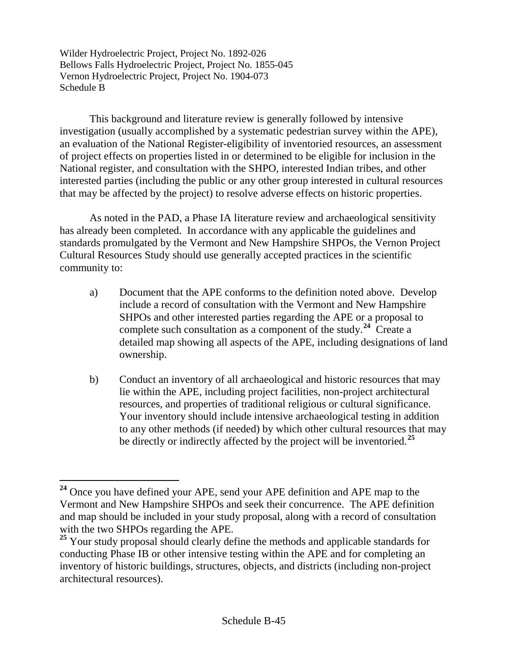This background and literature review is generally followed by intensive investigation (usually accomplished by a systematic pedestrian survey within the APE), an evaluation of the National Register-eligibility of inventoried resources, an assessment of project effects on properties listed in or determined to be eligible for inclusion in the National register, and consultation with the SHPO, interested Indian tribes, and other interested parties (including the public or any other group interested in cultural resources that may be affected by the project) to resolve adverse effects on historic properties.

As noted in the PAD, a Phase IA literature review and archaeological sensitivity has already been completed. In accordance with any applicable the guidelines and standards promulgated by the Vermont and New Hampshire SHPOs, the Vernon Project Cultural Resources Study should use generally accepted practices in the scientific community to:

- a) Document that the APE conforms to the definition noted above. Develop include a record of consultation with the Vermont and New Hampshire SHPOs and other interested parties regarding the APE or a proposal to complete such consultation as a component of the study. **[24](#page-55-0)** Create a detailed map showing all aspects of the APE, including designations of land ownership.
- b) Conduct an inventory of all archaeological and historic resources that may lie within the APE, including project facilities, non-project architectural resources, and properties of traditional religious or cultural significance. Your inventory should include intensive archaeological testing in addition to any other methods (if needed) by which other cultural resources that may be directly or indirectly affected by the project will be inventoried.**[25](#page-55-1)**

<span id="page-55-0"></span>**<sup>24</sup>** Once you have defined your APE, send your APE definition and APE map to the Vermont and New Hampshire SHPOs and seek their concurrence. The APE definition and map should be included in your study proposal, along with a record of consultation with the two SHPOs regarding the APE.

<span id="page-55-1"></span><sup>&</sup>lt;sup>25</sup> Your study proposal should clearly define the methods and applicable standards for conducting Phase IB or other intensive testing within the APE and for completing an inventory of historic buildings, structures, objects, and districts (including non-project architectural resources).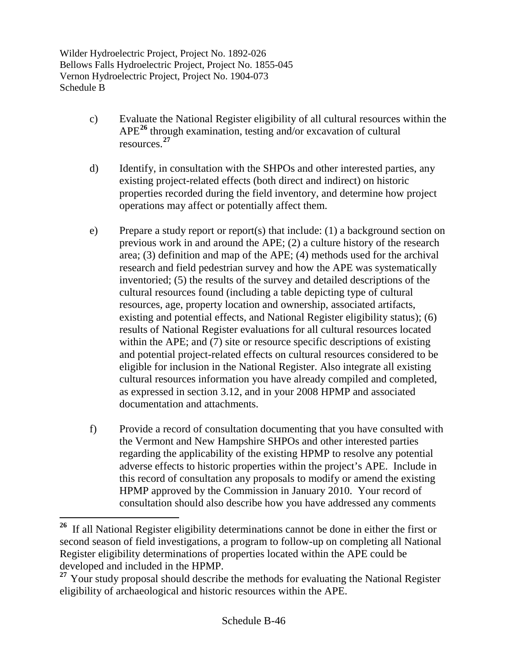- c) Evaluate the National Register eligibility of all cultural resources within the APE**[26](#page-56-0)** through examination, testing and/or excavation of cultural resources. **[27](#page-56-1)**
- d) Identify, in consultation with the SHPOs and other interested parties, any existing project-related effects (both direct and indirect) on historic properties recorded during the field inventory, and determine how project operations may affect or potentially affect them.
- e) Prepare a study report or report(s) that include: (1) a background section on previous work in and around the APE; (2) a culture history of the research area; (3) definition and map of the APE; (4) methods used for the archival research and field pedestrian survey and how the APE was systematically inventoried; (5) the results of the survey and detailed descriptions of the cultural resources found (including a table depicting type of cultural resources, age, property location and ownership, associated artifacts, existing and potential effects, and National Register eligibility status); (6) results of National Register evaluations for all cultural resources located within the APE; and (7) site or resource specific descriptions of existing and potential project-related effects on cultural resources considered to be eligible for inclusion in the National Register. Also integrate all existing cultural resources information you have already compiled and completed, as expressed in section 3.12, and in your 2008 HPMP and associated documentation and attachments.
- f) Provide a record of consultation documenting that you have consulted with the Vermont and New Hampshire SHPOs and other interested parties regarding the applicability of the existing HPMP to resolve any potential adverse effects to historic properties within the project's APE. Include in this record of consultation any proposals to modify or amend the existing HPMP approved by the Commission in January 2010. Your record of consultation should also describe how you have addressed any comments

<span id="page-56-0"></span>**<sup>26</sup>** If all National Register eligibility determinations cannot be done in either the first or second season of field investigations, a program to follow-up on completing all National Register eligibility determinations of properties located within the APE could be developed and included in the HPMP.

<span id="page-56-1"></span><sup>&</sup>lt;sup>27</sup> Your study proposal should describe the methods for evaluating the National Register eligibility of archaeological and historic resources within the APE.